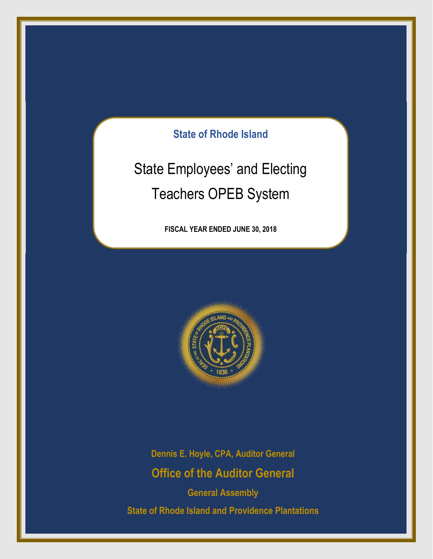**State of Rhode Island** 

# State Employees' and Electing Teachers OPEB System

**FISCAL YEAR ENDED JUNE 30, 2018**



**Dennis E. Hoyle, CPA, Auditor General Office of the Auditor General General Assembly**

**State of Rhode Island and Providence Plantations**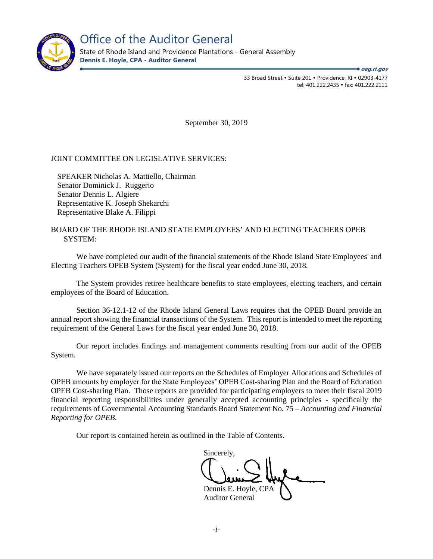

Office of the Auditor General

State of Rhode Island and Providence Plantations - General Assembly **Dennis E. Hoyle, CPA - Auditor General**

> 33 Broad Street • Suite 201 • Providence, RI • 02903-4177 tel: 401.222.2435 · fax: 401.222.2111

**oag.ri.gov**

September 30, 2019

#### JOINT COMMITTEE ON LEGISLATIVE SERVICES:

SPEAKER Nicholas A. Mattiello, Chairman Senator Dominick J. Ruggerio Senator Dennis L. Algiere Representative K. Joseph Shekarchi Representative Blake A. Filippi

#### BOARD OF THE RHODE ISLAND STATE EMPLOYEES' AND ELECTING TEACHERS OPEB SYSTEM:

We have completed our audit of the financial statements of the Rhode Island State Employees' and Electing Teachers OPEB System (System) for the fiscal year ended June 30, 2018.

The System provides retiree healthcare benefits to state employees, electing teachers, and certain employees of the Board of Education.

Section 36-12.1-12 of the Rhode Island General Laws requires that the OPEB Board provide an annual report showing the financial transactions of the System. This report is intended to meet the reporting requirement of the General Laws for the fiscal year ended June 30, 2018.

Our report includes findings and management comments resulting from our audit of the OPEB System.

We have separately issued our reports on the Schedules of Employer Allocations and Schedules of OPEB amounts by employer for the State Employees' OPEB Cost-sharing Plan and the Board of Education OPEB Cost-sharing Plan. Those reports are provided for participating employers to meet their fiscal 2019 financial reporting responsibilities under generally accepted accounting principles - specifically the requirements of Governmental Accounting Standards Board Statement No. 75 – *Accounting and Financial Reporting for OPEB*.

Our report is contained herein as outlined in the Table of Contents.

Sincerely, Dennis E. Hoyle, CPA Auditor General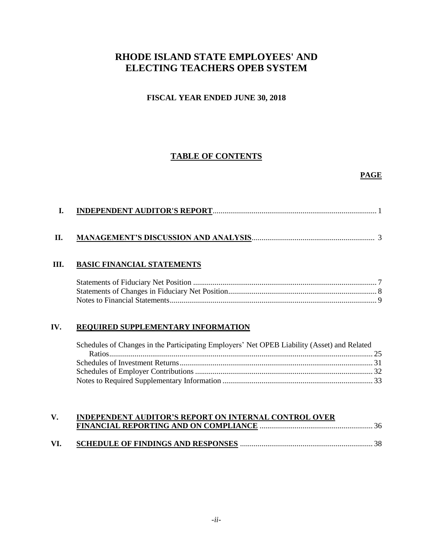# **RHODE ISLAND STATE EMPLOYEES' AND ELECTING TEACHERS OPEB SYSTEM**

**FISCAL YEAR ENDED JUNE 30, 2018**

# **TABLE OF CONTENTS**

#### **PAGE**

# **II. MANAGEMENT'S DISCUSSION AND ANALYSIS**............................................................... 3

### **III. BASIC FINANCIAL STATEMENTS**

# **IV. REQUIRED SUPPLEMENTARY INFORMATION**

| Schedules of Changes in the Participating Employers' Net OPEB Liability (Asset) and Related |  |
|---------------------------------------------------------------------------------------------|--|
|                                                                                             |  |
|                                                                                             |  |
|                                                                                             |  |
|                                                                                             |  |

#### **V. INDEPENDENT AUDITOR'S REPORT ON INTERNAL CONTROL OVER FINANCIAL REPORTING AND ON COMPLIANCE** .......................................................... 36

# **VI. SCHEDULE OF FINDINGS AND RESPONSES** .................................................................... 38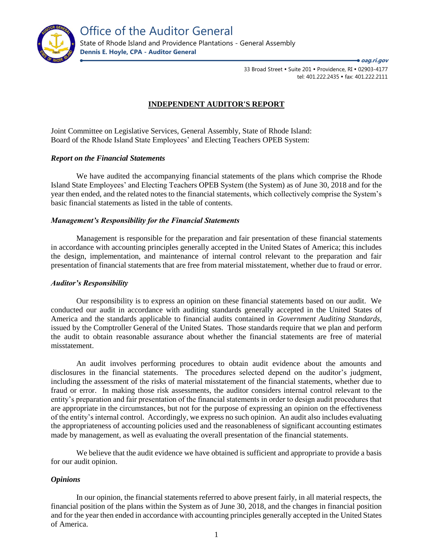

33 Broad Street • Suite 201 • Providence, RI • 02903-4177 tel: 401.222.2435 · fax: 401.222.2111 **oag.ri.gov**

#### **INDEPENDENT AUDITOR'S REPORT**

Joint Committee on Legislative Services, General Assembly, State of Rhode Island: Board of the Rhode Island State Employees' and Electing Teachers OPEB System:

#### *Report on the Financial Statements*

We have audited the accompanying financial statements of the plans which comprise the Rhode Island State Employees' and Electing Teachers OPEB System (the System) as of June 30, 2018 and for the year then ended, and the related notes to the financial statements, which collectively comprise the System's basic financial statements as listed in the table of contents.

#### *Management's Responsibility for the Financial Statements*

Management is responsible for the preparation and fair presentation of these financial statements in accordance with accounting principles generally accepted in the United States of America; this includes the design, implementation, and maintenance of internal control relevant to the preparation and fair presentation of financial statements that are free from material misstatement, whether due to fraud or error.

#### *Auditor's Responsibility*

Our responsibility is to express an opinion on these financial statements based on our audit. We conducted our audit in accordance with auditing standards generally accepted in the United States of America and the standards applicable to financial audits contained in *Government Auditing Standards*, issued by the Comptroller General of the United States. Those standards require that we plan and perform the audit to obtain reasonable assurance about whether the financial statements are free of material misstatement.

An audit involves performing procedures to obtain audit evidence about the amounts and disclosures in the financial statements. The procedures selected depend on the auditor's judgment, including the assessment of the risks of material misstatement of the financial statements, whether due to fraud or error. In making those risk assessments, the auditor considers internal control relevant to the entity's preparation and fair presentation of the financial statements in order to design audit procedures that are appropriate in the circumstances, but not for the purpose of expressing an opinion on the effectiveness of the entity's internal control. Accordingly, we express no such opinion. An audit also includes evaluating the appropriateness of accounting policies used and the reasonableness of significant accounting estimates made by management, as well as evaluating the overall presentation of the financial statements.

We believe that the audit evidence we have obtained is sufficient and appropriate to provide a basis for our audit opinion.

#### *Opinions*

In our opinion, the financial statements referred to above present fairly, in all material respects, the financial position of the plans within the System as of June 30, 2018, and the changes in financial position and for the year then ended in accordance with accounting principles generally accepted in the United States of America.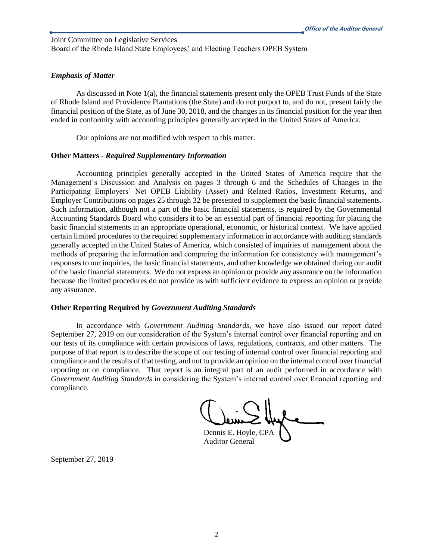Joint Committee on Legislative Services Board of the Rhode Island State Employees' and Electing Teachers OPEB System

#### *Emphasis of Matter*

As discussed in Note 1(a), the financial statements present only the OPEB Trust Funds of the State of Rhode Island and Providence Plantations (the State) and do not purport to, and do not, present fairly the financial position of the State, as of June 30, 2018, and the changes in its financial position for the year then ended in conformity with accounting principles generally accepted in the United States of America.

Our opinions are not modified with respect to this matter.

#### **Other Matters -** *Required Supplementary Information*

Accounting principles generally accepted in the United States of America require that the Management's Discussion and Analysis on pages 3 through 6 and the Schedules of Changes in the Participating Employers' Net OPEB Liability (Asset) and Related Ratios, Investment Returns, and Employer Contributions on pages 25 through 32 be presented to supplement the basic financial statements. Such information, although not a part of the basic financial statements, is required by the Governmental Accounting Standards Board who considers it to be an essential part of financial reporting for placing the basic financial statements in an appropriate operational, economic, or historical context. We have applied certain limited procedures to the required supplementary information in accordance with auditing standards generally accepted in the United States of America, which consisted of inquiries of management about the methods of preparing the information and comparing the information for consistency with management's responses to our inquiries, the basic financial statements, and other knowledge we obtained during our audit of the basic financial statements. We do not express an opinion or provide any assurance on the information because the limited procedures do not provide us with sufficient evidence to express an opinion or provide any assurance.

#### **Other Reporting Required by** *Government Auditing Standards*

In accordance with *Government Auditing Standards*, we have also issued our report dated September 27, 2019 on our consideration of the System's internal control over financial reporting and on our tests of its compliance with certain provisions of laws, regulations, contracts, and other matters. The purpose of that report is to describe the scope of our testing of internal control over financial reporting and compliance and the results of that testing, and not to provide an opinion on the internal control over financial reporting or on compliance. That report is an integral part of an audit performed in accordance with *Government Auditing Standards* in considering the System's internal control over financial reporting and compliance.

 Dennis E. Hoyle, CPA Auditor General

September 27, 2019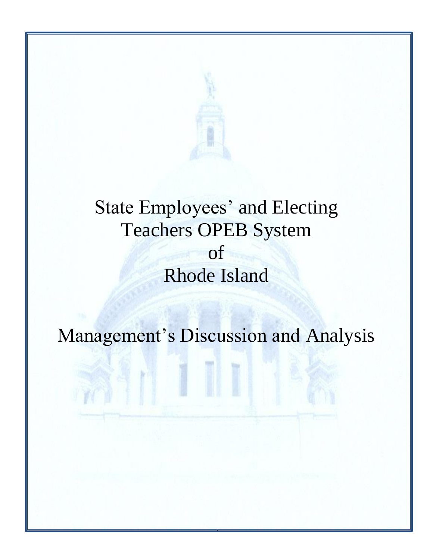# State Employees' and Electing Teachers OPEB System of Rhode Island

Management's Discussion and Analysis

3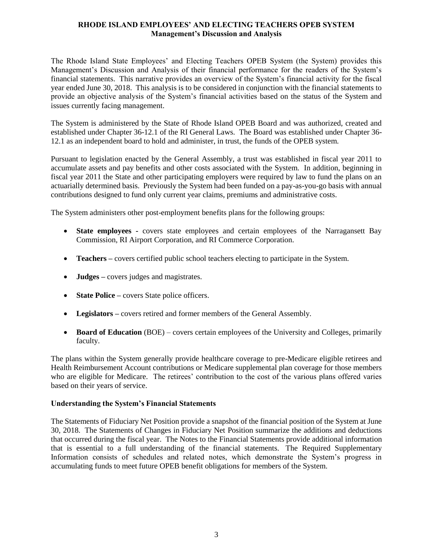The Rhode Island State Employees' and Electing Teachers OPEB System (the System) provides this Management's Discussion and Analysis of their financial performance for the readers of the System's financial statements. This narrative provides an overview of the System's financial activity for the fiscal year ended June 30, 2018. This analysis is to be considered in conjunction with the financial statements to provide an objective analysis of the System's financial activities based on the status of the System and issues currently facing management.

The System is administered by the State of Rhode Island OPEB Board and was authorized, created and established under Chapter 36-12.1 of the RI General Laws. The Board was established under Chapter 36- 12.1 as an independent board to hold and administer, in trust, the funds of the OPEB system.

Pursuant to legislation enacted by the General Assembly, a trust was established in fiscal year 2011 to accumulate assets and pay benefits and other costs associated with the System. In addition, beginning in fiscal year 2011 the State and other participating employers were required by law to fund the plans on an actuarially determined basis. Previously the System had been funded on a pay-as-you-go basis with annual contributions designed to fund only current year claims, premiums and administrative costs.

The System administers other post-employment benefits plans for the following groups:

- **State employees -** covers state employees and certain employees of the Narragansett Bay Commission, RI Airport Corporation, and RI Commerce Corporation.
- **Teachers** covers certified public school teachers electing to participate in the System.
- **Judges –** covers judges and magistrates.
- **State Police –** covers State police officers.
- **Legislators** covers retired and former members of the General Assembly.
- **Board of Education** (BOE) covers certain employees of the University and Colleges, primarily faculty.

The plans within the System generally provide healthcare coverage to pre-Medicare eligible retirees and Health Reimbursement Account contributions or Medicare supplemental plan coverage for those members who are eligible for Medicare. The retirees' contribution to the cost of the various plans offered varies based on their years of service.

#### **Understanding the System's Financial Statements**

The Statements of Fiduciary Net Position provide a snapshot of the financial position of the System at June 30, 2018. The Statements of Changes in Fiduciary Net Position summarize the additions and deductions that occurred during the fiscal year. The Notes to the Financial Statements provide additional information that is essential to a full understanding of the financial statements. The Required Supplementary Information consists of schedules and related notes, which demonstrate the System's progress in accumulating funds to meet future OPEB benefit obligations for members of the System.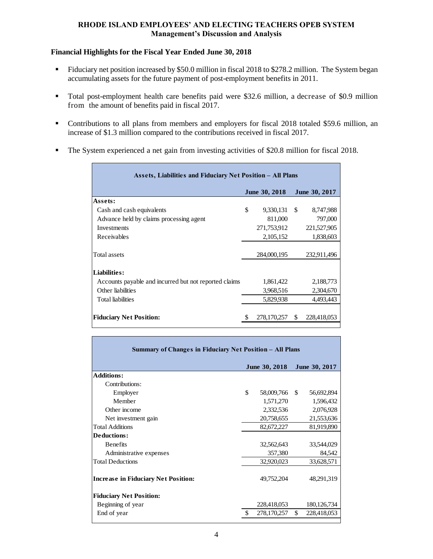#### **Financial Highlights for the Fiscal Year Ended June 30, 2018**

- Fiduciary net position increased by \$50.0 million in fiscal 2018 to \$278.2 million. The System began accumulating assets for the future payment of post-employment benefits in 2011.
- Total post-employment health care benefits paid were \$32.6 million, a decrease of \$0.9 million from the amount of benefits paid in fiscal 2017.
- Contributions to all plans from members and employers for fiscal 2018 totaled \$59.6 million, an increase of \$1.3 million compared to the contributions received in fiscal 2017.
- **•** The System experienced a net gain from investing activities of \$20.8 million for fiscal 2018.

| <b>Assets, Liabilities and Fiduciary Net Position - All Plans</b> |    |               |    |               |  |  |  |  |  |
|-------------------------------------------------------------------|----|---------------|----|---------------|--|--|--|--|--|
|                                                                   |    | June 30, 2018 |    | June 30, 2017 |  |  |  |  |  |
| Assets:                                                           |    |               |    |               |  |  |  |  |  |
| Cash and cash equivalents                                         | \$ | 9,330,131     | -S | 8,747,988     |  |  |  |  |  |
| Advance held by claims processing agent                           |    | 811,000       |    | 797,000       |  |  |  |  |  |
| Investments                                                       |    | 271,753,912   |    | 221,527,905   |  |  |  |  |  |
| Receivables                                                       |    | 2,105,152     |    | 1,838,603     |  |  |  |  |  |
| Total assets                                                      |    | 284,000,195   |    | 232,911,496   |  |  |  |  |  |
| Liabilities:                                                      |    |               |    |               |  |  |  |  |  |
| Accounts payable and incurred but not reported claims             |    | 1,861,422     |    | 2,188,773     |  |  |  |  |  |
| Other liabilities                                                 |    | 3,968,516     |    | 2,304,670     |  |  |  |  |  |
| Total liabilities                                                 |    | 5,829,938     |    | 4,493,443     |  |  |  |  |  |
| <b>Fiduciary Net Position:</b>                                    |    | 278,170,257   | \$ | 228,418,053   |  |  |  |  |  |

| <b>Summary of Changes in Fiduciary Net Position – All Plans</b> |    |               |              |               |  |  |  |  |  |
|-----------------------------------------------------------------|----|---------------|--------------|---------------|--|--|--|--|--|
|                                                                 |    | June 30, 2018 |              | June 30, 2017 |  |  |  |  |  |
| <b>Additions:</b>                                               |    |               |              |               |  |  |  |  |  |
| Contributions:                                                  |    |               |              |               |  |  |  |  |  |
| Employer                                                        | \$ | 58,009,766 \$ |              | 56,692,894    |  |  |  |  |  |
| Member                                                          |    | 1,571,270     |              | 1,596,432     |  |  |  |  |  |
| Other income                                                    |    | 2,332,536     |              | 2,076,928     |  |  |  |  |  |
| Net investment gain                                             |    | 20,758,655    |              | 21,553,636    |  |  |  |  |  |
| <b>Total Additions</b>                                          |    | 82,672,227    |              | 81,919,890    |  |  |  |  |  |
| Deductions:                                                     |    |               |              |               |  |  |  |  |  |
| <b>Benefits</b>                                                 |    | 32,562,643    |              | 33,544,029    |  |  |  |  |  |
| Administrative expenses                                         |    | 357,380       |              | 84,542        |  |  |  |  |  |
| <b>Total Deductions</b>                                         |    | 32,920,023    |              | 33,628,571    |  |  |  |  |  |
| <b>Increase in Fiduciary Net Position:</b>                      |    | 49,752,204    |              | 48,291,319    |  |  |  |  |  |
| <b>Fiduciary Net Position:</b>                                  |    |               |              |               |  |  |  |  |  |
| Beginning of year                                               |    | 228,418,053   |              | 180, 126, 734 |  |  |  |  |  |
| End of year                                                     |    | 278,170,257   | $\mathbb{S}$ | 228,418,053   |  |  |  |  |  |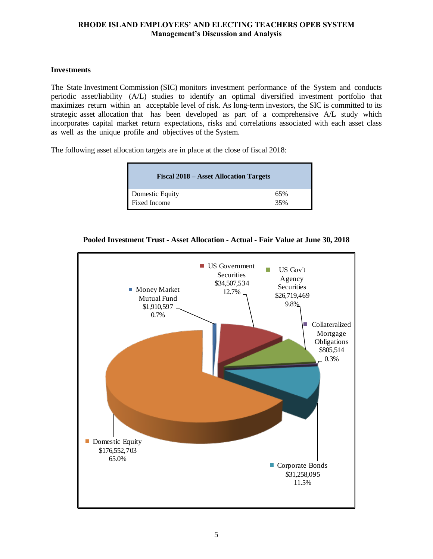#### **Investments**

The State Investment Commission (SIC) monitors investment performance of the System and conducts periodic asset/liability (A/L) studies to identify an optimal diversified investment portfolio that maximizes return within an acceptable level of risk. As long-term investors, the SIC is committed to its strategic asset allocation that has been developed as part of a comprehensive A/L study which incorporates capital market return expectations, risks and correlations associated with each asset class as well as the unique profile and objectives of the System.

The following asset allocation targets are in place at the close of fiscal 2018:

| <b>Fiscal 2018 – Asset Allocation Targets</b> |     |
|-----------------------------------------------|-----|
| Domestic Equity                               | 65% |
| Fixed Income                                  | 35% |



**Pooled Investment Trust - Asset Allocation - Actual - Fair Value at June 30, 2018**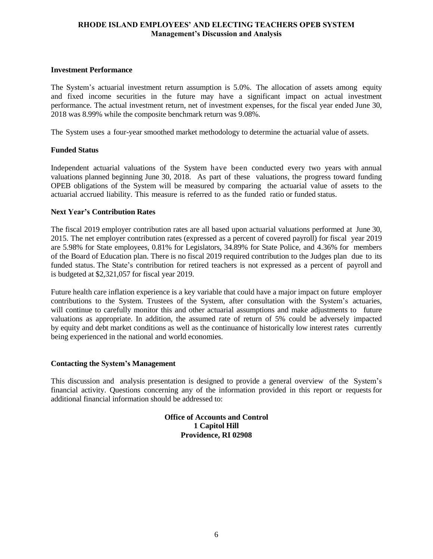#### **Investment Performance**

The System's actuarial investment return assumption is 5.0%. The allocation of assets among equity and fixed income securities in the future may have a significant impact on actual investment performance. The actual investment return, net of investment expenses, for the fiscal year ended June 30, 2018 was 8.99% while the composite benchmark return was 9.08%.

The System uses a four-year smoothed market methodology to determine the actuarial value of assets.

#### **Funded Status**

Independent actuarial valuations of the System have been conducted every two years with annual valuations planned beginning June 30, 2018. As part of these valuations, the progress toward funding OPEB obligations of the System will be measured by comparing the actuarial value of assets to the actuarial accrued liability. This measure is referred to as the funded ratio or funded status.

#### **Next Year's Contribution Rates**

The fiscal 2019 employer contribution rates are all based upon actuarial valuations performed at June 30, 2015. The net employer contribution rates (expressed as a percent of covered payroll) for fiscal year 2019 are 5.98% for State employees, 0.81% for Legislators, 34.89% for State Police, and 4.36% for members of the Board of Education plan. There is no fiscal 2019 required contribution to the Judges plan due to its funded status. The State's contribution for retired teachers is not expressed as a percent of payroll and is budgeted at \$2,321,057 for fiscal year 2019.

Future health care inflation experience is a key variable that could have a major impact on future employer contributions to the System. Trustees of the System, after consultation with the System's actuaries, will continue to carefully monitor this and other actuarial assumptions and make adjustments to future valuations as appropriate. In addition, the assumed rate of return of 5% could be adversely impacted by equity and debt market conditions as well as the continuance of historically low interest rates currently being experienced in the national and world economies.

#### **Contacting the System's Management**

This discussion and analysis presentation is designed to provide a general overview of the System's financial activity. Questions concerning any of the information provided in this report or requests for additional financial information should be addressed to:

> **Office of Accounts and Control 1 Capitol Hill Providence, RI 02908**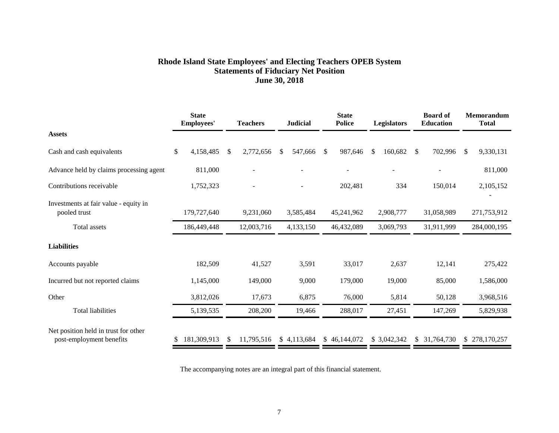#### **Rhode Island State Employees' and Electing Teachers OPEB System Statements of Fiduciary Net Position June 30, 2018**

| <b>State</b><br><b>Employees'</b>                                |                 | <b>Teachers</b> | <b>Judicial</b> |                | <b>State</b><br><b>Police</b> | Legislators    | <b>Board of</b><br><b>Education</b> |               | Memorandum<br><b>Total</b> |    |             |
|------------------------------------------------------------------|-----------------|-----------------|-----------------|----------------|-------------------------------|----------------|-------------------------------------|---------------|----------------------------|----|-------------|
| <b>Assets</b>                                                    |                 |                 |                 |                |                               |                |                                     |               |                            |    |             |
| Cash and cash equivalents                                        | \$<br>4,158,485 | \$              | 2,772,656       | 547,666<br>\$. | <sup>\$</sup>                 | 987,646        | \$<br>160,682                       | <sup>\$</sup> | 702,996                    | \$ | 9,330,131   |
| Advance held by claims processing agent                          | 811,000         |                 |                 |                |                               | $\blacksquare$ |                                     |               |                            |    | 811,000     |
| Contributions receivable                                         | 1,752,323       |                 |                 |                |                               | 202,481        | 334                                 |               | 150,014                    |    | 2,105,152   |
| Investments at fair value - equity in<br>pooled trust            | 179,727,640     |                 | 9,231,060       | 3,585,484      |                               | 45,241,962     | 2,908,777                           |               | 31,058,989                 |    | 271,753,912 |
| <b>Total assets</b>                                              | 186,449,448     |                 | 12,003,716      | 4,133,150      |                               | 46,432,089     | 3,069,793                           |               | 31,911,999                 |    | 284,000,195 |
| <b>Liabilities</b>                                               |                 |                 |                 |                |                               |                |                                     |               |                            |    |             |
| Accounts payable                                                 | 182,509         |                 | 41,527          | 3,591          |                               | 33,017         | 2,637                               |               | 12,141                     |    | 275,422     |
| Incurred but not reported claims                                 | 1,145,000       |                 | 149,000         | 9,000          |                               | 179,000        | 19,000                              |               | 85,000                     |    | 1,586,000   |
| Other                                                            | 3,812,026       |                 | 17,673          | 6,875          |                               | 76,000         | 5,814                               |               | 50,128                     |    | 3,968,516   |
| <b>Total liabilities</b>                                         | 5,139,535       |                 | 208,200         | 19,466         |                               | 288,017        | 27,451                              |               | 147,269                    |    | 5,829,938   |
| Net position held in trust for other<br>post-employment benefits | 181,309,913     | \$              | 11,795,516      | \$4,113,684    |                               | \$46,144,072   | \$3,042,342                         | \$            | 31,764,730                 | \$ | 278,170,257 |

The accompanying notes are an integral part of this financial statement.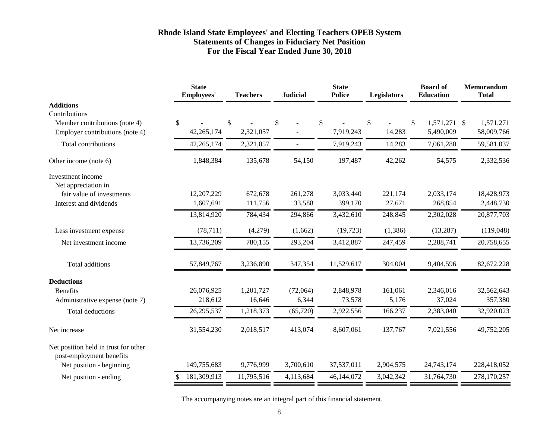#### **Rhode Island State Employees' and Electing Teachers OPEB System Statements of Changes in Fiduciary Net Position For the Fiscal Year Ended June 30, 2018**

|                                                                  | <b>State</b><br><b>Employees'</b> | <b>Teachers</b> | <b>Judicial</b> | <b>State</b><br><b>Police</b> | Legislators | <b>Board of</b><br><b>Education</b> | <b>Memorandum</b><br><b>Total</b> |
|------------------------------------------------------------------|-----------------------------------|-----------------|-----------------|-------------------------------|-------------|-------------------------------------|-----------------------------------|
| <b>Additions</b>                                                 |                                   |                 |                 |                               |             |                                     |                                   |
| Contributions                                                    |                                   |                 |                 |                               |             |                                     |                                   |
| Member contributions (note 4)                                    | \$                                | \$              | \$              | \$                            | \$          | 1,571,271 \$<br>\$                  | 1,571,271                         |
| Employer contributions (note 4)                                  | 42,265,174                        | 2,321,057       |                 | 7,919,243                     | 14,283      | 5,490,009                           | 58,009,766                        |
| Total contributions                                              | 42, 265, 174                      | 2,321,057       | $\mathbf{r}$    | 7,919,243                     | 14,283      | 7,061,280                           | 59,581,037                        |
| Other income (note 6)                                            | 1,848,384                         | 135,678         | 54,150          | 197,487                       | 42,262      | 54,575                              | 2,332,536                         |
| Investment income                                                |                                   |                 |                 |                               |             |                                     |                                   |
| Net appreciation in                                              |                                   |                 |                 |                               |             |                                     |                                   |
| fair value of investments                                        | 12,207,229                        | 672,678         | 261,278         | 3,033,440                     | 221,174     | 2,033,174                           | 18,428,973                        |
| Interest and dividends                                           | 1,607,691                         | 111,756         | 33,588          | 399,170                       | 27,671      | 268,854                             | 2,448,730                         |
|                                                                  | 13,814,920                        | 784,434         | 294,866         | 3,432,610                     | 248,845     | 2,302,028                           | $\overline{20,877,703}$           |
| Less investment expense                                          | (78, 711)                         | (4,279)         | (1,662)         | (19, 723)                     | (1,386)     | (13, 287)                           | (119,048)                         |
| Net investment income                                            | 13,736,209                        | 780,155         | 293,204         | 3,412,887                     | 247,459     | 2,288,741                           | 20,758,655                        |
| Total additions                                                  | 57,849,767                        | 3,236,890       | 347,354         | 11,529,617                    | 304,004     | 9,404,596                           | 82,672,228                        |
| <b>Deductions</b>                                                |                                   |                 |                 |                               |             |                                     |                                   |
| <b>Benefits</b>                                                  | 26,076,925                        | 1,201,727       | (72,064)        | 2,848,978                     | 161,061     | 2,346,016                           | 32,562,643                        |
| Administrative expense (note 7)                                  | 218,612                           | 16,646          | 6,344           | 73,578                        | 5,176       | 37,024                              | 357,380                           |
| <b>Total deductions</b>                                          | 26,295,537                        | 1,218,373       | (65, 720)       | 2,922,556                     | 166,237     | 2,383,040                           | 32,920,023                        |
| Net increase                                                     | 31,554,230                        | 2,018,517       | 413,074         | 8,607,061                     | 137,767     | 7,021,556                           | 49,752,205                        |
| Net position held in trust for other<br>post-employment benefits |                                   |                 |                 |                               |             |                                     |                                   |
| Net position - beginning                                         | 149,755,683                       | 9,776,999       | 3,700,610       | 37,537,011                    | 2,904,575   | 24,743,174                          | 228,418,052                       |
| Net position - ending                                            | 181,309,913                       | 11,795,516      | 4,113,684       | 46,144,072                    | 3,042,342   | 31,764,730                          | 278,170,257                       |

The accompanying notes are an integral part of this financial statement.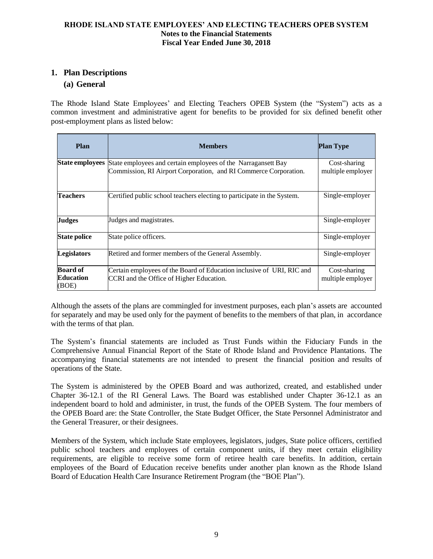### **1. Plan Descriptions**

#### **(a) General**

The Rhode Island State Employees' and Electing Teachers OPEB System (the "System") acts as a common investment and administrative agent for benefits to be provided for six defined benefit other post-employment plans as listed below:

| Plan                      | <b>Members</b>                                                          | <b>Plan Type</b>  |
|---------------------------|-------------------------------------------------------------------------|-------------------|
| <b>State employees</b>    | State employees and certain employees of the Narragansett Bay           | Cost-sharing      |
|                           | Commission, RI Airport Corporation, and RI Commerce Corporation.        | multiple employer |
| <b>Teachers</b>           | Certified public school teachers electing to participate in the System. | Single-employer   |
| <b>Judges</b>             | Judges and magistrates.                                                 | Single-employer   |
| <b>State police</b>       | State police officers.                                                  | Single-employer   |
| <b>Legislators</b>        | Retired and former members of the General Assembly.                     | Single-employer   |
| <b>Board of</b>           | Certain employees of the Board of Education inclusive of URI, RIC and   | Cost-sharing      |
| <b>Education</b><br>(BOE) | CCRI and the Office of Higher Education.                                | multiple employer |

Although the assets of the plans are commingled for investment purposes, each plan's assets are accounted for separately and may be used only for the payment of benefits to the members of that plan, in accordance with the terms of that plan.

The System's financial statements are included as Trust Funds within the Fiduciary Funds in the Comprehensive Annual Financial Report of the State of Rhode Island and Providence Plantations. The accompanying financial statements are not intended to present the financial position and results of operations of the State.

The System is administered by the OPEB Board and was authorized, created, and established under Chapter 36-12.1 of the RI General Laws. The Board was established under Chapter 36-12.1 as an independent board to hold and administer, in trust, the funds of the OPEB System. The four members of the OPEB Board are: the State Controller, the State Budget Officer, the State Personnel Administrator and the General Treasurer, or their designees.

Members of the System, which include State employees, legislators, judges, State police officers, certified public school teachers and employees of certain component units, if they meet certain eligibility requirements, are eligible to receive some form of retiree health care benefits. In addition, certain employees of the Board of Education receive benefits under another plan known as the Rhode Island Board of Education Health Care Insurance Retirement Program (the "BOE Plan").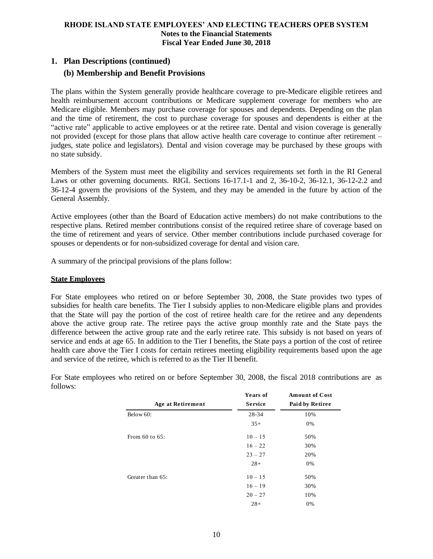# **1. Plan Descriptions (continued) (b) Membership and Benefit Provisions**

The plans within the System generally provide healthcare coverage to pre-Medicare eligible retirees and health reimbursement account contributions or Medicare supplement coverage for members who are Medicare eligible. Members may purchase coverage for spouses and dependents. Depending on the plan and the time of retirement, the cost to purchase coverage for spouses and dependents is either at the "active rate" applicable to active employees or at the retiree rate. Dental and vision coverage is generally not provided (except for those plans that allow active health care coverage to continue after retirement – judges, state police and legislators). Dental and vision coverage may be purchased by these groups with no state subsidy.

Members of the System must meet the eligibility and services requirements set forth in the RI General Laws or other governing documents. RIGL Sections 16-17.1-1 and 2, 36-10-2, 36-12.1, 36-12-2.2 and 36-12-4 govern the provisions of the System, and they may be amended in the future by action of the General Assembly.

Active employees (other than the Board of Education active members) do not make contributions to the respective plans. Retired member contributions consist of the required retiree share of coverage based on the time of retirement and years of service. Other member contributions include purchased coverage for spouses or dependents or for non-subsidized coverage for dental and vision care.

A summary of the principal provisions of the plans follow:

#### **State Employees**

For State employees who retired on or before September 30, 2008, the State provides two types of subsidies for health care benefits. The Tier I subsidy applies to non-Medicare eligible plans and provides that the State will pay the portion of the cost of retiree health care for the retiree and any dependents above the active group rate. The retiree pays the active group monthly rate and the State pays the difference between the active group rate and the early retiree rate. This subsidy is not based on years of service and ends at age 65. In addition to the Tier I benefits, the State pays a portion of the cost of retiree health care above the Tier I costs for certain retirees meeting eligibility requirements based upon the age and service of the retiree, which is referred to as the Tier II benefit.

For State employees who retired on or before September 30, 2008, the fiscal 2018 contributions are as follows:

|                          | Years of       | <b>Amount of Cost</b> |
|--------------------------|----------------|-----------------------|
| <b>Age at Retirement</b> | <b>Service</b> | Paid by Retiree       |
| Below 60:                | 28-34          | 10%                   |
|                          | $35+$          | 0%                    |
| From 60 to 65:           | $10 - 15$      | 50%                   |
|                          | $16 - 22$      | 30%                   |
|                          | $23 - 27$      | 20%                   |
|                          | $28+$          | 0%                    |
| Greater than 65:         | $10 - 15$      | 50%                   |
|                          | $16 - 19$      | 30%                   |
|                          | $20 - 27$      | 10%                   |
|                          | $28+$          | 0%                    |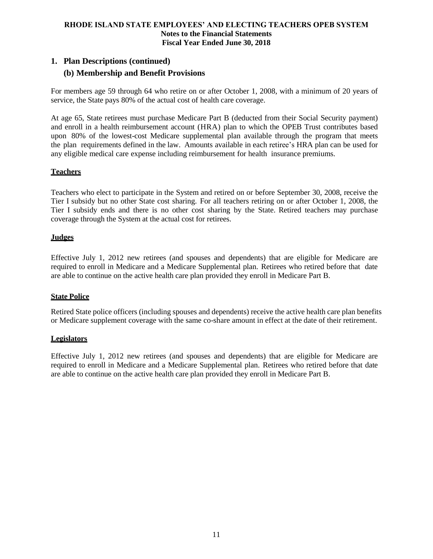# **1. Plan Descriptions (continued) (b) Membership and Benefit Provisions**

For members age 59 through 64 who retire on or after October 1, 2008, with a minimum of 20 years of service, the State pays 80% of the actual cost of health care coverage.

At age 65, State retirees must purchase Medicare Part B (deducted from their Social Security payment) and enroll in a health reimbursement account (HRA) plan to which the OPEB Trust contributes based upon 80% of the lowest-cost Medicare supplemental plan available through the program that meets the plan requirements defined in the law. Amounts available in each retiree's HRA plan can be used for any eligible medical care expense including reimbursement for health insurance premiums.

#### **Teachers**

Teachers who elect to participate in the System and retired on or before September 30, 2008, receive the Tier I subsidy but no other State cost sharing. For all teachers retiring on or after October 1, 2008, the Tier I subsidy ends and there is no other cost sharing by the State. Retired teachers may purchase coverage through the System at the actual cost for retirees.

#### **Judges**

Effective July 1, 2012 new retirees (and spouses and dependents) that are eligible for Medicare are required to enroll in Medicare and a Medicare Supplemental plan. Retirees who retired before that date are able to continue on the active health care plan provided they enroll in Medicare Part B.

#### **State Police**

Retired State police officers (including spouses and dependents) receive the active health care plan benefits or Medicare supplement coverage with the same co-share amount in effect at the date of their retirement.

#### **Legislators**

Effective July 1, 2012 new retirees (and spouses and dependents) that are eligible for Medicare are required to enroll in Medicare and a Medicare Supplemental plan. Retirees who retired before that date are able to continue on the active health care plan provided they enroll in Medicare Part B.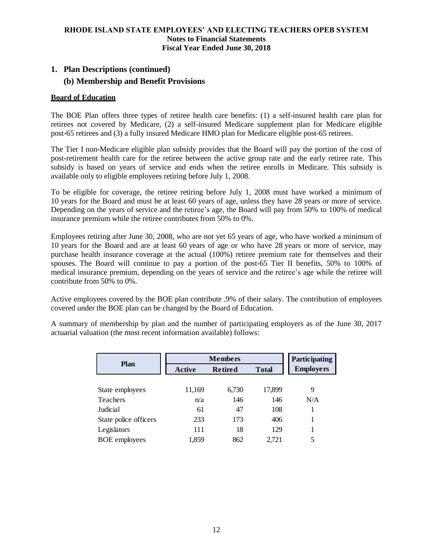# **1. Plan Descriptions (continued)**

### **(b) Membership and Benefit Provisions**

#### **Board of Education**

The BOE Plan offers three types of retiree health care benefits: (1) a self-insured health care plan for retirees not covered by Medicare, (2) a self-insured Medicare supplement plan for Medicare eligible post-65 retirees and (3) a fully insured Medicare HMO plan for Medicare eligible post-65 retirees.

The Tier I non-Medicare eligible plan subsidy provides that the Board will pay the portion of the cost of post-retirement health care for the retiree between the active group rate and the early retiree rate. This subsidy is based on years of service and ends when the retiree enrolls in Medicare. This subsidy is available only to eligible employees retiring before July 1, 2008.

To be eligible for coverage, the retiree retiring before July 1, 2008 must have worked a minimum of 10 years for the Board and must be at least 60 years of age, unless they have 28 years or more of service. Depending on the years of service and the retiree's age, the Board will pay from 50% to 100% of medical insurance premium while the retiree contributes from 50% to 0%.

Employees retiring after June 30, 2008, who are not yet 65 years of age, who have worked a minimum of 10 years for the Board and are at least 60 years of age or who have 28 years or more of service, may purchase health insurance coverage at the actual (100%) retiree premium rate for themselves and their spouses. The Board will continue to pay a portion of the post-65 Tier II benefits, 50% to 100% of medical insurance premium, depending on the years of service and the retiree's age while the retiree will contribute from 50% to 0%.

Active employees covered by the BOE plan contribute .9% of their salary. The contribution of employees covered under the BOE plan can be changed by the Board of Education.

A summary of membership by plan and the number of participating employers as of the June 30, 2017 actuarial valuation (the most recent information available) follows:

| Plan                  |               | <b>Participating</b> |        |                  |
|-----------------------|---------------|----------------------|--------|------------------|
|                       | <b>Active</b> | <b>Retired</b>       |        | <b>Employers</b> |
|                       |               |                      |        |                  |
| State employees       | 11,169        | 6,730                | 17,899 | 9                |
| <b>Teachers</b>       | n/a           | 146                  | 146    | N/A              |
| Judicial              | 61            | 47                   | 108    |                  |
| State police officers | 233           | 173                  | 406    |                  |
| Legislators           | 111           | 18                   | 129    |                  |
| <b>BOE</b> employees  | 1,859         | 862                  | 2,721  | 5                |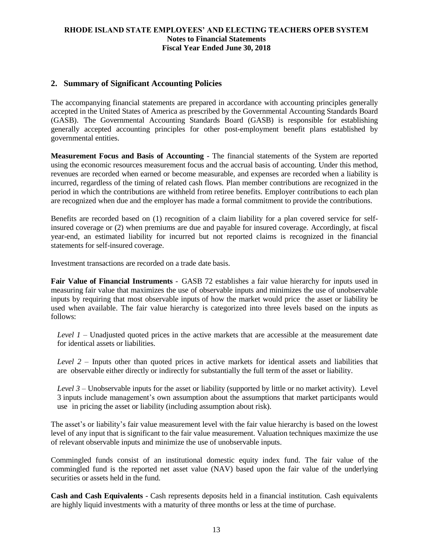### **2. Summary of Significant Accounting Policies**

The accompanying financial statements are prepared in accordance with accounting principles generally accepted in the United States of America as prescribed by the Governmental Accounting Standards Board (GASB). The Governmental Accounting Standards Board (GASB) is responsible for establishing generally accepted accounting principles for other post-employment benefit plans established by governmental entities.

**Measurement Focus and Basis of Accounting** - The financial statements of the System are reported using the economic resources measurement focus and the accrual basis of accounting. Under this method, revenues are recorded when earned or become measurable, and expenses are recorded when a liability is incurred, regardless of the timing of related cash flows. Plan member contributions are recognized in the period in which the contributions are withheld from retiree benefits. Employer contributions to each plan are recognized when due and the employer has made a formal commitment to provide the contributions.

Benefits are recorded based on (1) recognition of a claim liability for a plan covered service for selfinsured coverage or (2) when premiums are due and payable for insured coverage. Accordingly, at fiscal year-end, an estimated liability for incurred but not reported claims is recognized in the financial statements for self-insured coverage.

Investment transactions are recorded on a trade date basis.

**Fair Value of Financial Instruments** - GASB 72 establishes a fair value hierarchy for inputs used in measuring fair value that maximizes the use of observable inputs and minimizes the use of unobservable inputs by requiring that most observable inputs of how the market would price the asset or liability be used when available. The fair value hierarchy is categorized into three levels based on the inputs as follows:

*Level 1* – Unadjusted quoted prices in the active markets that are accessible at the measurement date for identical assets or liabilities.

*Level 2* – Inputs other than quoted prices in active markets for identical assets and liabilities that are observable either directly or indirectly for substantially the full term of the asset or liability.

*Level 3* – Unobservable inputs for the asset or liability (supported by little or no market activity). Level 3 inputs include management's own assumption about the assumptions that market participants would use in pricing the asset or liability (including assumption about risk).

The asset's or liability's fair value measurement level with the fair value hierarchy is based on the lowest level of any input that is significant to the fair value measurement. Valuation techniques maximize the use of relevant observable inputs and minimize the use of unobservable inputs.

Commingled funds consist of an institutional domestic equity index fund. The fair value of the commingled fund is the reported net asset value (NAV) based upon the fair value of the underlying securities or assets held in the fund.

**Cash and Cash Equivalents** - Cash represents deposits held in a financial institution. Cash equivalents are highly liquid investments with a maturity of three months or less at the time of purchase.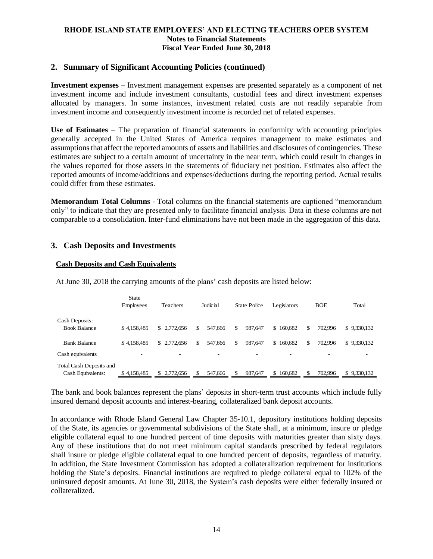#### **2. Summary of Significant Accounting Policies (continued)**

**Investment expenses –** Investment management expenses are presented separately as a component of net investment income and include investment consultants, custodial fees and direct investment expenses allocated by managers. In some instances, investment related costs are not readily separable from investment income and consequently investment income is recorded net of related expenses.

**Use of Estimates** – The preparation of financial statements in conformity with accounting principles generally accepted in the United States of America requires management to make estimates and assumptions that affect the reported amounts of assets and liabilities and disclosures of contingencies. These estimates are subject to a certain amount of uncertainty in the near term, which could result in changes in the values reported for those assets in the statements of fiduciary net position. Estimates also affect the reported amounts of income/additions and expenses/deductions during the reporting period. Actual results could differ from these estimates.

**Memorandum Total Columns** - Total columns on the financial statements are captioned "memorandum only" to indicate that they are presented only to facilitate financial analysis. Data in these columns are not comparable to a consolidation. Inter-fund eliminations have not been made in the aggregation of this data.

#### **3. Cash Deposits and Investments**

#### **Cash Deposits and Cash Equivalents**

|                                              | <b>State</b><br><b>Employees</b> | Teachers        |   | Judicial | <b>State Police</b> | Legislators | <b>BOE</b>    | Total       |
|----------------------------------------------|----------------------------------|-----------------|---|----------|---------------------|-------------|---------------|-------------|
| Cash Deposits:                               |                                  |                 |   |          |                     |             |               |             |
| <b>Book Balance</b>                          | \$4,158,485                      | \$2.772,656     | S | 547,666  | \$<br>987.647       | \$160,682   | \$<br>702.996 | \$9,330,132 |
| <b>Bank Balance</b>                          | \$4,158,485                      | \$2.772,656     | S | 547,666  | \$<br>987.647       | \$160,682   | \$<br>702.996 | \$9,330,132 |
| Cash equivalents                             |                                  |                 |   |          |                     |             |               |             |
| Total Cash Deposits and<br>Cash Equivalents: | \$4,158,485                      | 2,772,656<br>\$ |   | 547,666  | 987,647             | \$160,682   | 702.996       | \$9,330,132 |

At June 30, 2018 the carrying amounts of the plans' cash deposits are listed below:

The bank and book balances represent the plans' deposits in short-term trust accounts which include fully insured demand deposit accounts and interest-bearing, collateralized bank deposit accounts.

In accordance with Rhode Island General Law Chapter 35-10.1, depository institutions holding deposits of the State, its agencies or governmental subdivisions of the State shall, at a minimum, insure or pledge eligible collateral equal to one hundred percent of time deposits with maturities greater than sixty days. Any of these institutions that do not meet minimum capital standards prescribed by federal regulators shall insure or pledge eligible collateral equal to one hundred percent of deposits, regardless of maturity. In addition, the State Investment Commission has adopted a collateralization requirement for institutions holding the State's deposits. Financial institutions are required to pledge collateral equal to 102% of the uninsured deposit amounts. At June 30, 2018, the System's cash deposits were either federally insured or collateralized.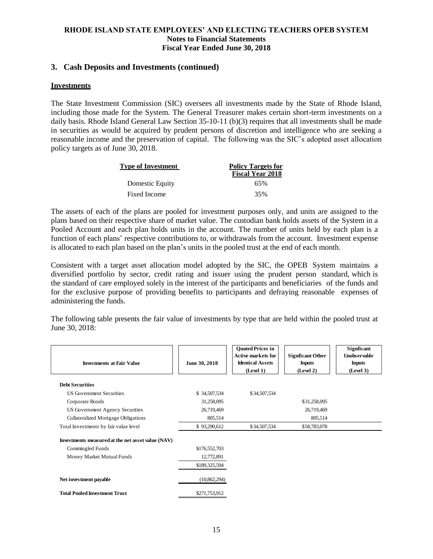#### **3. Cash Deposits and Investments (continued)**

#### **Investments**

The State Investment Commission (SIC) oversees all investments made by the State of Rhode Island, including those made for the System. The General Treasurer makes certain short-term investments on a daily basis. Rhode Island General Law Section 35-10-11 (b)(3) requires that all investments shall be made in securities as would be acquired by prudent persons of discretion and intelligence who are seeking a reasonable income and the preservation of capital. The following was the SIC's adopted asset allocation policy targets as of June 30, 2018.

| <b>Type of Investment</b> | <b>Policy Targets for</b> |
|---------------------------|---------------------------|
|                           | <b>Fiscal Year 2018</b>   |
| Domestic Equity           | 65%                       |
| Fixed Income              | 35%                       |

The assets of each of the plans are pooled for investment purposes only, and units are assigned to the plans based on their respective share of market value. The custodian bank holds assets of the System in a Pooled Account and each plan holds units in the account. The number of units held by each plan is a function of each plans' respective contributions to, or withdrawals from the account. Investment expense is allocated to each plan based on the plan's units in the pooled trust at the end of each month.

Consistent with a target asset allocation model adopted by the SIC, the OPEB System maintains a diversified portfolio by sector, credit rating and issuer using the prudent person standard, which is the standard of care employed solely in the interest of the participants and beneficiaries of the funds and for the exclusive purpose of providing benefits to participants and defraying reasonable expenses of administering the funds.

The following table presents the fair value of investments by type that are held within the pooled trust at June 30, 2018:

| <b>Investments at Fair Value</b>                  | June 30, 2018 | <b>Ouoted Prices in</b><br><b>Active markets for</b><br><b>Identical Assets</b><br>(Level 1) | <b>Signficant Other</b><br><b>Inputs</b><br>(Level 2) | Signficant<br><b>Unobservable</b><br><b>Inputs</b><br>(Level 3) |
|---------------------------------------------------|---------------|----------------------------------------------------------------------------------------------|-------------------------------------------------------|-----------------------------------------------------------------|
| <b>Debt Securities</b>                            |               |                                                                                              |                                                       |                                                                 |
| <b>US Government Securities</b>                   | \$34,507,534  | \$34,507,534                                                                                 |                                                       |                                                                 |
| Corporate Bonds                                   | 31,258,095    |                                                                                              | \$31,258,095                                          |                                                                 |
| <b>US Government Agency Securities</b>            | 26,719,469    |                                                                                              | 26,719,469                                            |                                                                 |
| Collateralized Mortgage Obligations               | 805,514       |                                                                                              | 805,514                                               |                                                                 |
| Total Investments by fair value level             | \$93,290,612  | \$34,507,534                                                                                 | \$58,783,078                                          |                                                                 |
| Investments measured at the net asset value (NAV) |               |                                                                                              |                                                       |                                                                 |
| Commingled Funds                                  | \$176,552,703 |                                                                                              |                                                       |                                                                 |
| Money Market Mutual Funds                         | 12,772,891    |                                                                                              |                                                       |                                                                 |
|                                                   | \$189,325,594 |                                                                                              |                                                       |                                                                 |
| Net investment payable                            | (10,862,294)  |                                                                                              |                                                       |                                                                 |
| <b>Total Pooled Investment Trust</b>              | \$271,753,912 |                                                                                              |                                                       |                                                                 |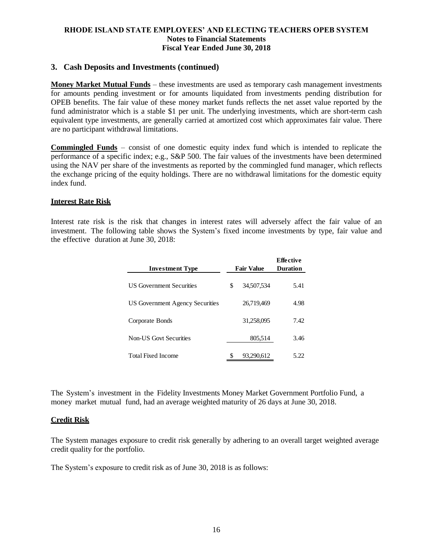#### **3. Cash Deposits and Investments (continued)**

**Money Market Mutual Funds** – these investments are used as temporary cash management investments for amounts pending investment or for amounts liquidated from investments pending distribution for OPEB benefits. The fair value of these money market funds reflects the net asset value reported by the fund administrator which is a stable \$1 per unit. The underlying investments, which are short-term cash equivalent type investments, are generally carried at amortized cost which approximates fair value. There are no participant withdrawal limitations.

**Commingled Funds** – consist of one domestic equity index fund which is intended to replicate the performance of a specific index; e.g., S&P 500. The fair values of the investments have been determined using the NAV per share of the investments as reported by the commingled fund manager, which reflects the exchange pricing of the equity holdings. There are no withdrawal limitations for the domestic equity index fund.

#### **Interest Rate Risk**

Interest rate risk is the risk that changes in interest rates will adversely affect the fair value of an investment. The following table shows the System's fixed income investments by type, fair value and the effective duration at June 30, 2018:

|                                        |                   | <b>Effective</b> |
|----------------------------------------|-------------------|------------------|
| <b>Investment Type</b>                 | <b>Fair Value</b> | <b>Duration</b>  |
| <b>US Government Securities</b>        | \$<br>34,507,534  | 5.41             |
| <b>US Government Agency Securities</b> | 26,719,469        | 4.98             |
| Corporate Bonds                        | 31,258,095        | 7.42             |
| <b>Non-US Govt Securities</b>          | 805,514           | 3.46             |
| <b>Total Fixed Income</b>              | 93,290,612        | 5.22             |

The System's investment in the Fidelity Investments Money Market Government Portfolio Fund, a money market mutual fund, had an average weighted maturity of 26 days at June 30, 2018.

#### **Credit Risk**

The System manages exposure to credit risk generally by adhering to an overall target weighted average credit quality for the portfolio.

The System's exposure to credit risk as of June 30, 2018 is as follows: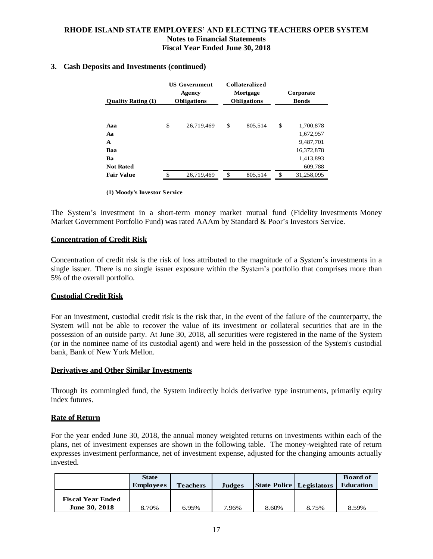#### **3. Cash Deposits and Investments (continued)**

| \$<br>\$<br>\$<br>26.719.469<br>805,514<br>Aaa<br>Aa<br>A<br>Baa<br>Ba<br><b>Not Rated</b><br>\$.<br>\$<br>\$.<br>26,719,469<br>805.514<br><b>Fair Value</b> | <b>Quality Rating (1)</b> | <b>US Government</b><br>Agency<br>Obligations |  | <b>Collateralized</b><br>Mortgage<br>Obligations |  | Corporate<br><b>Bonds</b>                                                 |  |  |
|--------------------------------------------------------------------------------------------------------------------------------------------------------------|---------------------------|-----------------------------------------------|--|--------------------------------------------------|--|---------------------------------------------------------------------------|--|--|
|                                                                                                                                                              |                           |                                               |  |                                                  |  | 1,700,878<br>1,672,957<br>9.487.701<br>16,372,878<br>1,413,893<br>609,788 |  |  |
|                                                                                                                                                              |                           |                                               |  |                                                  |  | 31,258,095                                                                |  |  |

**(1) Moody's Investor Service**

The System's investment in a short-term money market mutual fund (Fidelity Investments Money Market Government Portfolio Fund) was rated AAAm by Standard & Poor's Investors Service.

#### **Concentration of Credit Risk**

Concentration of credit risk is the risk of loss attributed to the magnitude of a System's investments in a single issuer. There is no single issuer exposure within the System's portfolio that comprises more than 5% of the overall portfolio.

#### **Custodial Credit Risk**

For an investment, custodial credit risk is the risk that, in the event of the failure of the counterparty, the System will not be able to recover the value of its investment or collateral securities that are in the possession of an outside party. At June 30, 2018, all securities were registered in the name of the System (or in the nominee name of its custodial agent) and were held in the possession of the System's custodial bank, Bank of New York Mellon.

#### **Derivatives and Other Similar Investments**

Through its commingled fund, the System indirectly holds derivative type instruments, primarily equity index futures.

#### **Rate of Return**

For the year ended June 30, 2018, the annual money weighted returns on investments within each of the plans, net of investment expenses are shown in the following table. The money-weighted rate of return expresses investment performance, net of investment expense, adjusted for the changing amounts actually invested.

|                                           | <b>State</b><br><b>Employees</b> | <b>Teachers</b> | <b>Judges</b> | <b>State Police   Legislators</b> |       | <b>Board of</b><br><b>Education</b> |
|-------------------------------------------|----------------------------------|-----------------|---------------|-----------------------------------|-------|-------------------------------------|
| <b>Fiscal Year Ended</b><br>June 30, 2018 | 8.70%                            | 6.95%           | 7.96%         | 8.60%                             | 8.75% | 8.59%                               |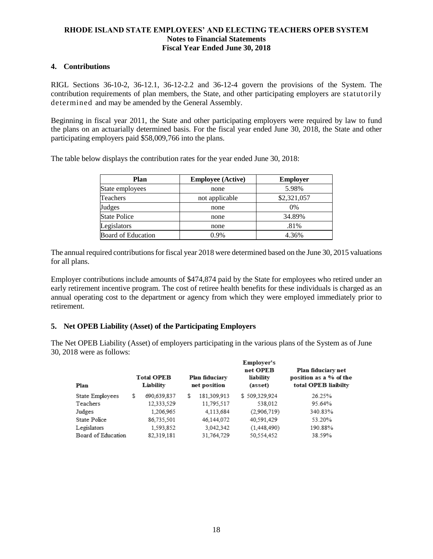### **4. Contributions**

RIGL Sections 36-10-2, 36-12.1, 36-12-2.2 and 36-12-4 govern the provisions of the System. The contribution requirements of plan members, the State, and other participating employers are statutorily determined and may be amended by the General Assembly.

Beginning in fiscal year 2011, the State and other participating employers were required by law to fund the plans on an actuarially determined basis. For the fiscal year ended June 30, 2018, the State and other participating employers paid \$58,009,766 into the plans.

The table below displays the contribution rates for the year ended June 30, 2018:

| Plan                      | <b>Employee (Active)</b> | <b>Employer</b> |
|---------------------------|--------------------------|-----------------|
| State employees           | none                     | 5.98%           |
| Teachers                  | not applicable           | \$2,321,057     |
| Judges                    | none                     | 0%              |
| <b>State Police</b>       | none                     | 34.89%          |
| Legislators               | none                     | .81%            |
| <b>Board of Education</b> | 0.9%                     | 4.36%           |

The annual required contributions for fiscal year 2018 were determined based on the June 30, 2015 valuations for all plans.

Employer contributions include amounts of \$474,874 paid by the State for employees who retired under an early retirement incentive program. The cost of retiree health benefits for these individuals is charged as an annual operating cost to the department or agency from which they were employed immediately prior to retirement.

#### **5. Net OPEB Liability (Asset) of the Participating Employers**

The Net OPEB Liability (Asset) of employers participating in the various plans of the System as of June 30, 2018 were as follows:

 $-$ 

| Plan               | <b>Total OPEB</b><br>Liability |   | Plan fiduciary<br>net position | Employer's<br>net OPEB<br>liability<br>(asset) | Plan fiduciary net<br>position as a % of the<br>total OPEB liaibilty |
|--------------------|--------------------------------|---|--------------------------------|------------------------------------------------|----------------------------------------------------------------------|
| State Employees    | \$<br>690.639.837              | S | 181.309.913                    | \$509.329.924                                  | 26.25%                                                               |
| Teachers           | 12.333.529                     |   | 11,795,517                     | 538,012                                        | 95.64%                                                               |
| Judges             | 1.206.965                      |   | 4,113,684                      | (2,906,719)                                    | 340.83%                                                              |
| State Police       | 86,735,501                     |   | 46,144,072                     | 40,591,429                                     | 53.20%                                                               |
| Legislators        | 1,593,852                      |   | 3,042,342                      | (1,448,490)                                    | 190.88%                                                              |
| Board of Education | 82.319.181                     |   | 31,764,729                     | 50.554.452                                     | 38.59%                                                               |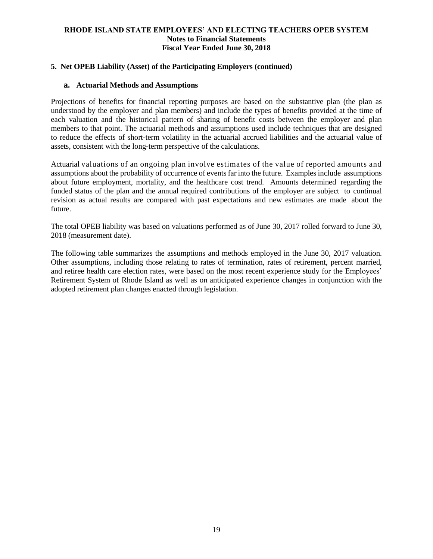#### **5. Net OPEB Liability (Asset) of the Participating Employers (continued)**

#### **a. Actuarial Methods and Assumptions**

Projections of benefits for financial reporting purposes are based on the substantive plan (the plan as understood by the employer and plan members) and include the types of benefits provided at the time of each valuation and the historical pattern of sharing of benefit costs between the employer and plan members to that point. The actuarial methods and assumptions used include techniques that are designed to reduce the effects of short-term volatility in the actuarial accrued liabilities and the actuarial value of assets, consistent with the long-term perspective of the calculations.

Actuarial valuations of an ongoing plan involve estimates of the value of reported amounts and assumptions about the probability of occurrence of eventsfar into the future. Examplesinclude assumptions about future employment, mortality, and the healthcare cost trend. Amounts determined regarding the funded status of the plan and the annual required contributions of the employer are subject to continual revision as actual results are compared with past expectations and new estimates are made about the future.

The total OPEB liability was based on valuations performed as of June 30, 2017 rolled forward to June 30, 2018 (measurement date).

The following table summarizes the assumptions and methods employed in the June 30, 2017 valuation. Other assumptions, including those relating to rates of termination, rates of retirement, percent married, and retiree health care election rates, were based on the most recent experience study for the Employees' Retirement System of Rhode Island as well as on anticipated experience changes in conjunction with the adopted retirement plan changes enacted through legislation.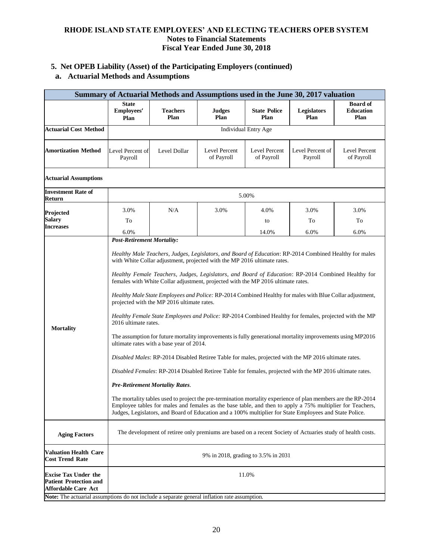# **5. Net OPEB Liability (Asset) of the Participating Employers (continued)**

# **a. Actuarial Methods and Assumptions**

|                                                                                                                                                                                            | Summary of Actuarial Methods and Assumptions used in the June 30, 2017 valuation                                                                                                                                                                                                                                                                                                                                                                                                                                                                                                                                                                                                                                                                                                                                                                                                                                                                                                                                                                                                                                                                                                                                                                                                                                                                                                                                                                                               |                         |                                                                                                            |                                     |                             |                                             |  |  |  |  |
|--------------------------------------------------------------------------------------------------------------------------------------------------------------------------------------------|--------------------------------------------------------------------------------------------------------------------------------------------------------------------------------------------------------------------------------------------------------------------------------------------------------------------------------------------------------------------------------------------------------------------------------------------------------------------------------------------------------------------------------------------------------------------------------------------------------------------------------------------------------------------------------------------------------------------------------------------------------------------------------------------------------------------------------------------------------------------------------------------------------------------------------------------------------------------------------------------------------------------------------------------------------------------------------------------------------------------------------------------------------------------------------------------------------------------------------------------------------------------------------------------------------------------------------------------------------------------------------------------------------------------------------------------------------------------------------|-------------------------|------------------------------------------------------------------------------------------------------------|-------------------------------------|-----------------------------|---------------------------------------------|--|--|--|--|
|                                                                                                                                                                                            | <b>State</b><br>Employees'<br>Plan                                                                                                                                                                                                                                                                                                                                                                                                                                                                                                                                                                                                                                                                                                                                                                                                                                                                                                                                                                                                                                                                                                                                                                                                                                                                                                                                                                                                                                             | <b>Teachers</b><br>Plan | <b>Judges</b><br>Plan                                                                                      | <b>State Police</b><br>Plan         | Legislators<br><b>Plan</b>  | <b>Board of</b><br><b>Education</b><br>Plan |  |  |  |  |
| <b>Actuarial Cost Method</b>                                                                                                                                                               |                                                                                                                                                                                                                                                                                                                                                                                                                                                                                                                                                                                                                                                                                                                                                                                                                                                                                                                                                                                                                                                                                                                                                                                                                                                                                                                                                                                                                                                                                | Individual Entry Age    |                                                                                                            |                                     |                             |                                             |  |  |  |  |
| <b>Amortization Method</b>                                                                                                                                                                 | Level Percent of<br>Payroll                                                                                                                                                                                                                                                                                                                                                                                                                                                                                                                                                                                                                                                                                                                                                                                                                                                                                                                                                                                                                                                                                                                                                                                                                                                                                                                                                                                                                                                    | Level Dollar            | Level Percent<br>of Payroll                                                                                | Level Percent<br>of Payroll         | Level Percent of<br>Payroll | Level Percent<br>of Payroll                 |  |  |  |  |
| <b>Actuarial Assumptions</b>                                                                                                                                                               |                                                                                                                                                                                                                                                                                                                                                                                                                                                                                                                                                                                                                                                                                                                                                                                                                                                                                                                                                                                                                                                                                                                                                                                                                                                                                                                                                                                                                                                                                |                         |                                                                                                            |                                     |                             |                                             |  |  |  |  |
| <b>Investment Rate of</b><br>Return                                                                                                                                                        |                                                                                                                                                                                                                                                                                                                                                                                                                                                                                                                                                                                                                                                                                                                                                                                                                                                                                                                                                                                                                                                                                                                                                                                                                                                                                                                                                                                                                                                                                |                         |                                                                                                            | 5.00%                               |                             |                                             |  |  |  |  |
| Projected<br><b>Salary</b><br><b>Increases</b>                                                                                                                                             | 3.0%<br>To<br>6.0%                                                                                                                                                                                                                                                                                                                                                                                                                                                                                                                                                                                                                                                                                                                                                                                                                                                                                                                                                                                                                                                                                                                                                                                                                                                                                                                                                                                                                                                             | N/A                     | 3.0%                                                                                                       | 4.0%<br>to<br>14.0%                 | 3.0%<br>To<br>6.0%          | 3.0%<br>To<br>6.0%                          |  |  |  |  |
| <b>Mortality</b>                                                                                                                                                                           | <b>Post-Retirement Mortality:</b><br>Healthy Male Teachers, Judges, Legislators, and Board of Education: RP-2014 Combined Healthy for males<br>with White Collar adjustment, projected with the MP 2016 ultimate rates.<br>Healthy Female Teachers, Judges, Legislators, and Board of Education: RP-2014 Combined Healthy for<br>females with White Collar adjustment, projected with the MP 2016 ultimate rates.<br>Healthy Male State Employees and Police: RP-2014 Combined Healthy for males with Blue Collar adjustment,<br>projected with the MP 2016 ultimate rates.<br>Healthy Female State Employees and Police: RP-2014 Combined Healthy for females, projected with the MP<br>2016 ultimate rates.<br>The assumption for future mortality improvements is fully generational mortality improvements using MP2016<br>ultimate rates with a base year of 2014.<br>Disabled Males: RP-2014 Disabled Retiree Table for males, projected with the MP 2016 ultimate rates.<br>Disabled Females: RP-2014 Disabled Retiree Table for females, projected with the MP 2016 ultimate rates.<br><b>Pre-Retirement Mortality Rates.</b><br>The mortality tables used to project the pre-termination mortality experience of plan members are the RP-2014<br>Employee tables for males and females as the base table, and then to apply a 75% multiplier for Teachers,<br>Judges, Legislators, and Board of Education and a 100% multiplier for State Employees and State Police. |                         |                                                                                                            |                                     |                             |                                             |  |  |  |  |
| <b>Aging Factors</b>                                                                                                                                                                       |                                                                                                                                                                                                                                                                                                                                                                                                                                                                                                                                                                                                                                                                                                                                                                                                                                                                                                                                                                                                                                                                                                                                                                                                                                                                                                                                                                                                                                                                                |                         | The development of retiree only premiums are based on a recent Society of Actuaries study of health costs. |                                     |                             |                                             |  |  |  |  |
| <b>Valuation Health Care</b><br><b>Cost Trend Rate</b>                                                                                                                                     |                                                                                                                                                                                                                                                                                                                                                                                                                                                                                                                                                                                                                                                                                                                                                                                                                                                                                                                                                                                                                                                                                                                                                                                                                                                                                                                                                                                                                                                                                |                         |                                                                                                            | 9% in 2018, grading to 3.5% in 2031 |                             |                                             |  |  |  |  |
| <b>Excise Tax Under the</b><br><b>Patient Protection and</b><br><b>Affordable Care Act</b><br>Note: The actuarial assumptions do not include a separate general inflation rate assumption. |                                                                                                                                                                                                                                                                                                                                                                                                                                                                                                                                                                                                                                                                                                                                                                                                                                                                                                                                                                                                                                                                                                                                                                                                                                                                                                                                                                                                                                                                                |                         |                                                                                                            | 11.0%                               |                             |                                             |  |  |  |  |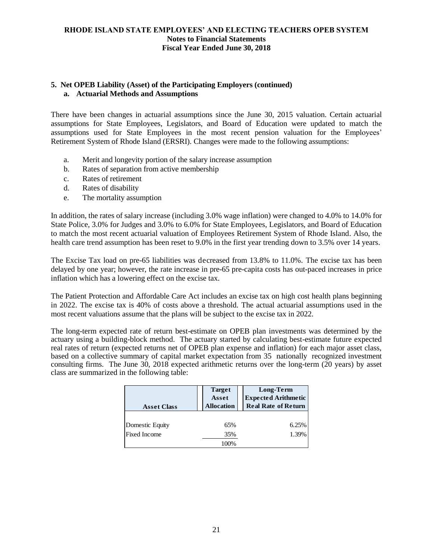#### **5. Net OPEB Liability (Asset) of the Participating Employers (continued) a. Actuarial Methods and Assumptions**

There have been changes in actuarial assumptions since the June 30, 2015 valuation. Certain actuarial assumptions for State Employees, Legislators, and Board of Education were updated to match the assumptions used for State Employees in the most recent pension valuation for the Employees' Retirement System of Rhode Island (ERSRI). Changes were made to the following assumptions:

- a. Merit and longevity portion of the salary increase assumption
- b. Rates of separation from active membership
- c. Rates of retirement
- d. Rates of disability
- e. The mortality assumption

In addition, the rates of salary increase (including 3.0% wage inflation) were changed to 4.0% to 14.0% for State Police, 3.0% for Judges and 3.0% to 6.0% for State Employees, Legislators, and Board of Education to match the most recent actuarial valuation of Employees Retirement System of Rhode Island. Also, the health care trend assumption has been reset to 9.0% in the first year trending down to 3.5% over 14 years.

The Excise Tax load on pre-65 liabilities was decreased from 13.8% to 11.0%. The excise tax has been delayed by one year; however, the rate increase in pre-65 pre-capita costs has out-paced increases in price inflation which has a lowering effect on the excise tax.

The Patient Protection and Affordable Care Act includes an excise tax on high cost health plans beginning in 2022. The excise tax is 40% of costs above a threshold. The actual actuarial assumptions used in the most recent valuations assume that the plans will be subject to the excise tax in 2022.

The long-term expected rate of return best-estimate on OPEB plan investments was determined by the actuary using a building-block method. The actuary started by calculating best-estimate future expected real rates of return (expected returns net of OPEB plan expense and inflation) for each major asset class, based on a collective summary of capital market expectation from 35 nationally recognized investment consulting firms. The June 30, 2018 expected arithmetic returns over the long-term (20 years) by asset class are summarized in the following table:

|                     | Target<br>Asset   | Long-Term                  |
|---------------------|-------------------|----------------------------|
|                     |                   | <b>Expected Arithmetic</b> |
| <b>Asset Class</b>  | <b>Allocation</b> | <b>Real Rate of Return</b> |
|                     |                   |                            |
| Domestic Equity     | 65%               | 6.25%                      |
| <b>Fixed Income</b> | 35%               | 1.39%                      |
|                     | 100%              |                            |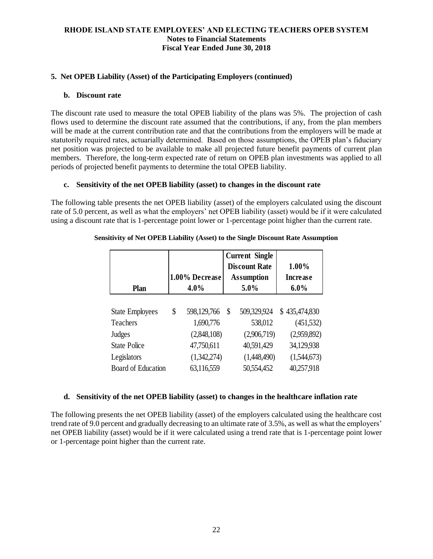#### **5. Net OPEB Liability (Asset) of the Participating Employers (continued)**

#### **b. Discount rate**

The discount rate used to measure the total OPEB liability of the plans was 5%. The projection of cash flows used to determine the discount rate assumed that the contributions, if any, from the plan members will be made at the current contribution rate and that the contributions from the employers will be made at statutorily required rates, actuarially determined. Based on those assumptions, the OPEB plan's fiduciary net position was projected to be available to make all projected future benefit payments of current plan members. Therefore, the long-term expected rate of return on OPEB plan investments was applied to all periods of projected benefit payments to determine the total OPEB liability.

#### **c. Sensitivity of the net OPEB liability (asset) to changes in the discount rate**

The following table presents the net OPEB liability (asset) of the employers calculated using the discount rate of 5.0 percent, as well as what the employers' net OPEB liability (asset) would be if it were calculated using a discount rate that is 1-percentage point lower or 1-percentage point higher than the current rate.

|                           |                   |                   | <b>Current Single</b><br><b>Discount Rate</b> | $1.00\%$        |
|---------------------------|-------------------|-------------------|-----------------------------------------------|-----------------|
|                           | 1.00% Decrease    | <b>Assumption</b> |                                               | <b>Increase</b> |
| Plan                      | 4.0%              | 5.0%              |                                               | $6.0\%$         |
|                           |                   |                   |                                               |                 |
| <b>State Employees</b>    | \$<br>598,129,766 | \$                | 509,329,924                                   | \$435,474,830   |
| Teachers                  | 1,690,776         |                   | 538,012                                       | (451, 532)      |
| Judges                    | (2,848,108)       |                   | (2,906,719)                                   | (2,959,892)     |
| <b>State Police</b>       | 47,750,611        |                   | 40,591,429                                    | 34,129,938      |
| Legislators               | (1,342,274)       |                   | (1,448,490)                                   | (1,544,673)     |
| <b>Board of Education</b> | 63,116,559        |                   | 50,554,452                                    | 40,257,918      |

#### **Sensitivity of Net OPEB Liability (Asset) to the Single Discount Rate Assumption**

#### **d. Sensitivity of the net OPEB liability (asset) to changes in the healthcare inflation rate**

The following presents the net OPEB liability (asset) of the employers calculated using the healthcare cost trend rate of 9.0 percent and gradually decreasing to an ultimate rate of 3.5%, as well as what the employers' net OPEB liability (asset) would be if it were calculated using a trend rate that is 1-percentage point lower or 1-percentage point higher than the current rate.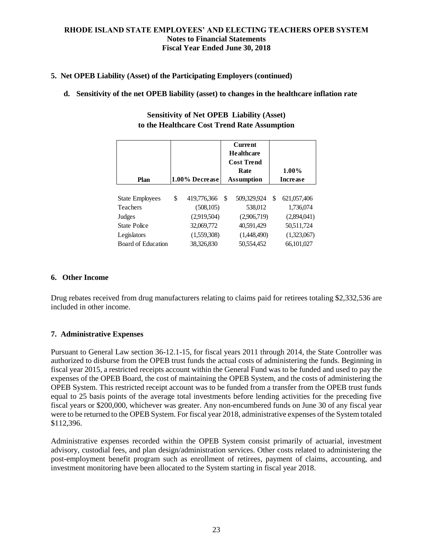#### **5. Net OPEB Liability (Asset) of the Participating Employers (continued)**

#### **d. Sensitivity of the net OPEB liability (asset) to changes in the healthcare inflation rate**

|                        |                   | <b>Current</b> |                   |                   |
|------------------------|-------------------|----------------|-------------------|-------------------|
|                        |                   |                | <b>Healthcare</b> |                   |
|                        |                   |                | <b>Cost Trend</b> |                   |
|                        |                   |                | Rate              | 1.00%             |
| Plan                   | 1.00% Decrease    |                | <b>Assumption</b> | <b>Increase</b>   |
|                        |                   |                |                   |                   |
| <b>State Employees</b> | \$<br>419,776,366 | S              | 509,329,924       | \$<br>621,057,406 |
| Teachers               | (508, 105)        |                | 538,012           | 1,736,074         |
| Judges                 | (2,919,504)       |                | (2,906,719)       | (2,894,041)       |
| <b>State Police</b>    | 32,069,772        |                | 40,591,429        | 50,511,724        |
| Legislators            | (1,559,308)       |                | (1,448,490)       | (1,323,067)       |
| Board of Education     | 38,326,830        |                | 50.554.452        | 66,101,027        |

### **Sensitivity of Net OPEB Liability (Asset) to the Healthcare Cost Trend Rate Assumption**

#### **6. Other Income**

Drug rebates received from drug manufacturers relating to claims paid for retirees totaling \$2,332,536 are included in other income.

#### **7. Administrative Expenses**

Pursuant to General Law section 36-12.1-15, for fiscal years 2011 through 2014, the State Controller was authorized to disburse from the OPEB trust funds the actual costs of administering the funds. Beginning in fiscal year 2015, a restricted receipts account within the General Fund was to be funded and used to pay the expenses of the OPEB Board, the cost of maintaining the OPEB System, and the costs of administering the OPEB System. This restricted receipt account was to be funded from a transfer from the OPEB trust funds equal to 25 basis points of the average total investments before lending activities for the preceding five fiscal years or \$200,000, whichever was greater. Any non-encumbered funds on June 30 of any fiscal year were to be returned to the OPEB System. For fiscal year 2018, administrative expenses of the System totaled \$112,396.

Administrative expenses recorded within the OPEB System consist primarily of actuarial, investment advisory, custodial fees, and plan design/administration services. Other costs related to administering the post-employment benefit program such as enrollment of retirees, payment of claims, accounting, and investment monitoring have been allocated to the System starting in fiscal year 2018.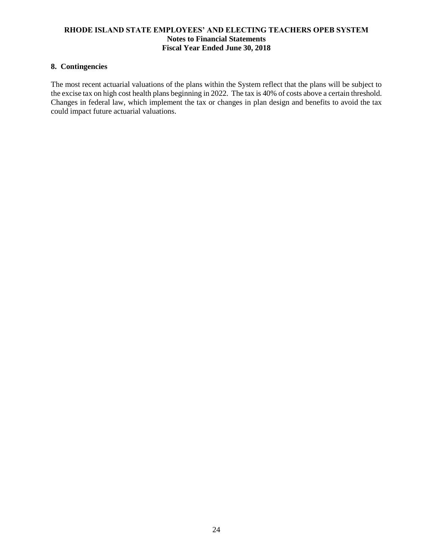#### **8. Contingencies**

The most recent actuarial valuations of the plans within the System reflect that the plans will be subject to the excise tax on high cost health plans beginning in 2022. The tax is 40% of costs above a certain threshold. Changes in federal law, which implement the tax or changes in plan design and benefits to avoid the tax could impact future actuarial valuations.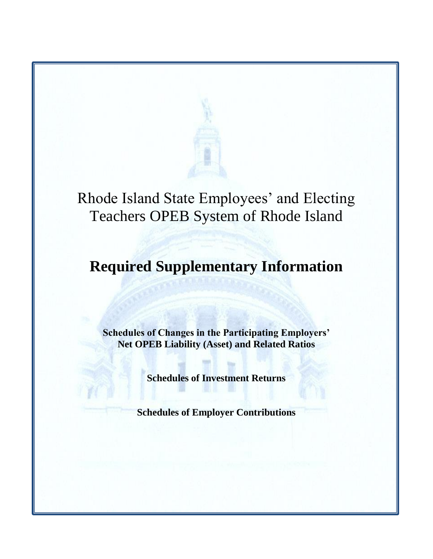# Rhode Island State Employees' and Electing Teachers OPEB System of Rhode Island

# **Required Supplementary Information**

**Schedules of Changes in the Participating Employers' Net OPEB Liability (Asset) and Related Ratios**

**Schedules of Investment Returns**

**Schedules of Employer Contributions**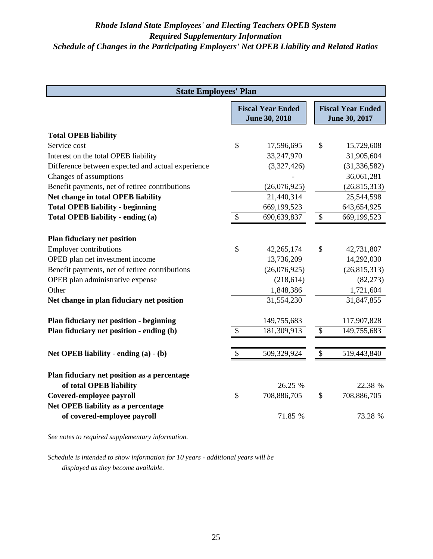# *Rhode Island State Employees' and Electing Teachers OPEB System Required Supplementary Information Schedule of Changes in the Participating Employers' Net OPEB Liability and Related Ratios*

| <b>State Employees' Plan</b>                                                                                                                                            |               |                                                  |                           |                                           |  |  |
|-------------------------------------------------------------------------------------------------------------------------------------------------------------------------|---------------|--------------------------------------------------|---------------------------|-------------------------------------------|--|--|
|                                                                                                                                                                         |               | <b>Fiscal Year Ended</b><br><b>June 30, 2018</b> |                           | <b>Fiscal Year Ended</b><br>June 30, 2017 |  |  |
| <b>Total OPEB liability</b>                                                                                                                                             |               |                                                  |                           |                                           |  |  |
| Service cost                                                                                                                                                            | $\mathcal{S}$ | 17,596,695                                       | \$                        | 15,729,608                                |  |  |
| Interest on the total OPEB liability                                                                                                                                    |               | 33,247,970                                       |                           | 31,905,604                                |  |  |
| Difference between expected and actual experience                                                                                                                       |               | (3,327,426)                                      |                           | (31, 336, 582)                            |  |  |
| Changes of assumptions                                                                                                                                                  |               |                                                  |                           | 36,061,281                                |  |  |
| Benefit payments, net of retiree contributions                                                                                                                          |               | (26,076,925)                                     |                           | (26, 815, 313)                            |  |  |
| Net change in total OPEB liability                                                                                                                                      |               | 21,440,314                                       |                           | 25,544,598                                |  |  |
| <b>Total OPEB liability - beginning</b>                                                                                                                                 |               | 669,199,523                                      |                           | 643, 654, 925                             |  |  |
| Total OPEB liability - ending (a)                                                                                                                                       | $\mathcal{S}$ | 690,639,837                                      | $\$\,$                    | 669,199,523                               |  |  |
| <b>Plan fiduciary net position</b><br><b>Employer contributions</b><br>OPEB plan net investment income                                                                  | $\mathcal{S}$ | 42,265,174<br>13,736,209                         | \$                        | 42,731,807<br>14,292,030                  |  |  |
| Benefit payments, net of retiree contributions                                                                                                                          |               | (26,076,925)                                     |                           | (26, 815, 313)                            |  |  |
| OPEB plan administrative expense                                                                                                                                        |               | (218, 614)                                       |                           | (82, 273)                                 |  |  |
| Other                                                                                                                                                                   |               | 1,848,386                                        |                           | 1,721,604                                 |  |  |
| Net change in plan fiduciary net position                                                                                                                               |               | 31,554,230                                       |                           | 31,847,855                                |  |  |
| Plan fiduciary net position - beginning                                                                                                                                 |               | 149,755,683                                      |                           | 117,907,828                               |  |  |
| Plan fiduciary net position - ending (b)                                                                                                                                | $\mathcal{S}$ | 181,309,913                                      | $\boldsymbol{\mathsf{S}}$ | 149,755,683                               |  |  |
| Net OPEB liability - ending $(a) - (b)$                                                                                                                                 | \$            | 509,329,924                                      | \$                        | 519,443,840                               |  |  |
| Plan fiduciary net position as a percentage<br>of total OPEB liability<br>Covered-employee payroll<br>Net OPEB liability as a percentage<br>of covered-employee payroll | \$            | 26.25 %<br>708,886,705<br>71.85 %                | \$                        | 22.38 %<br>708,886,705<br>73.28 %         |  |  |
|                                                                                                                                                                         |               |                                                  |                           |                                           |  |  |

*See notes to required supplementary information.*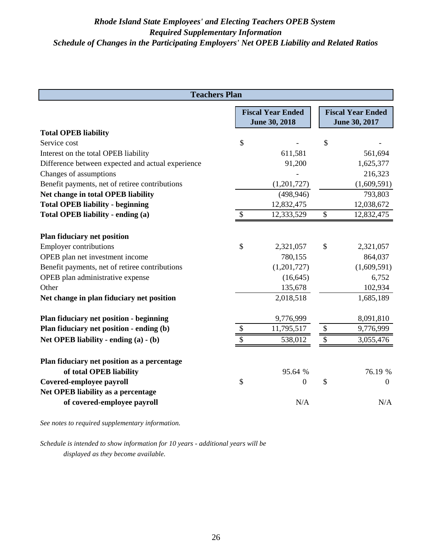# *Rhode Island State Employees' and Electing Teachers OPEB System Required Supplementary Information Schedule of Changes in the Participating Employers' Net OPEB Liability and Related Ratios*

| <b>Teachers Plan</b>                                                   |               |                                                  |                   |                                           |
|------------------------------------------------------------------------|---------------|--------------------------------------------------|-------------------|-------------------------------------------|
|                                                                        |               | <b>Fiscal Year Ended</b><br><b>June 30, 2018</b> |                   | <b>Fiscal Year Ended</b><br>June 30, 2017 |
| <b>Total OPEB liability</b>                                            |               |                                                  |                   |                                           |
| Service cost                                                           | $\mathcal{S}$ |                                                  | \$                |                                           |
| Interest on the total OPEB liability                                   |               | 611,581                                          |                   | 561,694                                   |
| Difference between expected and actual experience                      |               | 91,200                                           |                   | 1,625,377                                 |
| Changes of assumptions                                                 |               |                                                  |                   | 216,323                                   |
| Benefit payments, net of retiree contributions                         |               | (1,201,727)                                      |                   | (1,609,591)                               |
| Net change in total OPEB liability                                     |               | (498, 946)                                       |                   | 793,803                                   |
| <b>Total OPEB liability - beginning</b>                                |               | 12,832,475                                       |                   | 12,038,672                                |
| Total OPEB liability - ending (a)                                      | \$            | 12,333,529                                       | \$                | 12,832,475                                |
| <b>Plan fiduciary net position</b>                                     |               |                                                  |                   |                                           |
| <b>Employer contributions</b>                                          | \$            | 2,321,057                                        | \$                | 2,321,057                                 |
| OPEB plan net investment income                                        |               | 780,155                                          |                   | 864,037                                   |
| Benefit payments, net of retiree contributions                         |               | (1,201,727)                                      |                   | (1,609,591)                               |
| OPEB plan administrative expense                                       |               | (16, 645)                                        |                   | 6,752                                     |
| Other                                                                  |               | 135,678                                          |                   | 102,934                                   |
| Net change in plan fiduciary net position                              |               | 2,018,518                                        |                   | 1,685,189                                 |
| Plan fiduciary net position - beginning                                |               | 9,776,999                                        |                   | 8,091,810                                 |
| Plan fiduciary net position - ending (b)                               | \$            | 11,795,517                                       | $\boldsymbol{\$}$ | 9,776,999                                 |
| Net OPEB liability - ending (a) - (b)                                  | \$            | 538,012                                          | \$                | 3,055,476                                 |
| Plan fiduciary net position as a percentage<br>of total OPEB liability |               | 95.64 %                                          |                   | 76.19 %                                   |
| Covered-employee payroll                                               | \$            | $\mathbf{0}$                                     | \$                | $\boldsymbol{0}$                          |
| Net OPEB liability as a percentage<br>of covered-employee payroll      |               | N/A                                              |                   | N/A                                       |

*See notes to required supplementary information.*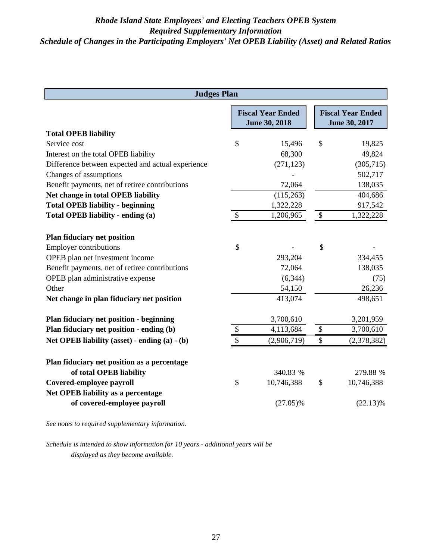| <b>Judges Plan</b>                                                     |               |                                                  |                           |                                           |
|------------------------------------------------------------------------|---------------|--------------------------------------------------|---------------------------|-------------------------------------------|
|                                                                        |               | <b>Fiscal Year Ended</b><br><b>June 30, 2018</b> |                           | <b>Fiscal Year Ended</b><br>June 30, 2017 |
| <b>Total OPEB liability</b>                                            |               |                                                  |                           |                                           |
| Service cost                                                           | $\mathcal{S}$ | 15,496                                           | $\mathcal{S}$             | 19,825                                    |
| Interest on the total OPEB liability                                   |               | 68,300                                           |                           | 49,824                                    |
| Difference between expected and actual experience                      |               | (271, 123)                                       |                           | (305,715)                                 |
| Changes of assumptions                                                 |               |                                                  |                           | 502,717                                   |
| Benefit payments, net of retiree contributions                         |               | 72,064                                           |                           | 138,035                                   |
| Net change in total OPEB liability                                     |               | (115, 263)                                       |                           | 404,686                                   |
| <b>Total OPEB liability - beginning</b>                                |               | 1,322,228                                        |                           | 917,542                                   |
| Total OPEB liability - ending (a)                                      | $\mathcal{S}$ | 1,206,965                                        | $\boldsymbol{\mathsf{S}}$ | 1,322,228                                 |
| <b>Plan fiduciary net position</b>                                     |               |                                                  |                           |                                           |
| <b>Employer contributions</b>                                          | \$            |                                                  | \$                        |                                           |
| OPEB plan net investment income                                        |               | 293,204                                          |                           | 334,455                                   |
| Benefit payments, net of retiree contributions                         |               | 72,064                                           |                           | 138,035                                   |
| OPEB plan administrative expense                                       |               | (6,344)                                          |                           | (75)                                      |
| Other                                                                  |               | 54,150                                           |                           | 26,236                                    |
| Net change in plan fiduciary net position                              |               | 413,074                                          |                           | 498,651                                   |
| <b>Plan fiduciary net position - beginning</b>                         |               | 3,700,610                                        |                           | 3,201,959                                 |
| Plan fiduciary net position - ending (b)                               | \$            | 4,113,684                                        | \$                        | 3,700,610                                 |
| Net OPEB liability (asset) - ending (a) - (b)                          | \$            | (2,906,719)                                      | \$                        | (2,378,382)                               |
| Plan fiduciary net position as a percentage<br>of total OPEB liability |               | 340.83 %                                         |                           | 279.88 %                                  |
| Covered-employee payroll                                               | \$            | 10,746,388                                       | \$                        | 10,746,388                                |
| Net OPEB liability as a percentage                                     |               |                                                  |                           |                                           |
| of covered-employee payroll                                            |               | $(27.05)\%$                                      |                           | $(22.13)\%$                               |

*See notes to required supplementary information.*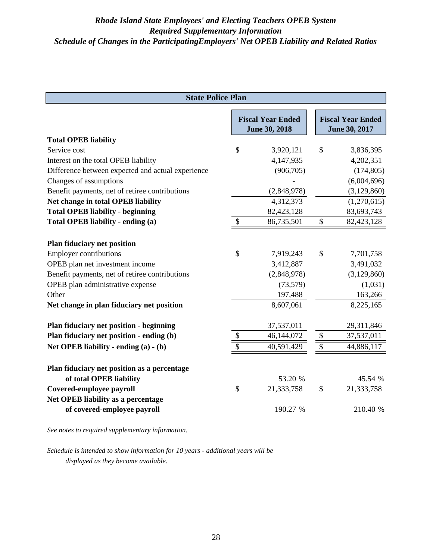| <b>State Police Plan</b>                                               |                           |                                           |                           |                                           |  |  |
|------------------------------------------------------------------------|---------------------------|-------------------------------------------|---------------------------|-------------------------------------------|--|--|
|                                                                        |                           | <b>Fiscal Year Ended</b><br>June 30, 2018 |                           | <b>Fiscal Year Ended</b><br>June 30, 2017 |  |  |
| <b>Total OPEB liability</b>                                            |                           |                                           |                           |                                           |  |  |
| Service cost                                                           | $\mathcal{S}$             | 3,920,121                                 | \$                        | 3,836,395                                 |  |  |
| Interest on the total OPEB liability                                   |                           | 4,147,935                                 |                           | 4,202,351                                 |  |  |
| Difference between expected and actual experience                      |                           | (906, 705)                                |                           | (174, 805)                                |  |  |
| Changes of assumptions                                                 |                           |                                           |                           | (6,004,696)                               |  |  |
| Benefit payments, net of retiree contributions                         |                           | (2,848,978)                               |                           | (3,129,860)                               |  |  |
| Net change in total OPEB liability                                     |                           | 4,312,373                                 |                           | (1,270,615)                               |  |  |
| <b>Total OPEB liability - beginning</b>                                |                           | 82,423,128                                |                           | 83,693,743                                |  |  |
| Total OPEB liability - ending (a)                                      | $\boldsymbol{\mathsf{S}}$ | 86,735,501                                | \$                        | 82,423,128                                |  |  |
| Plan fiduciary net position                                            |                           |                                           |                           |                                           |  |  |
| <b>Employer contributions</b>                                          | $\mathcal{S}$             | 7,919,243                                 | $\mathcal{S}$             | 7,701,758                                 |  |  |
| OPEB plan net investment income                                        |                           | 3,412,887                                 |                           | 3,491,032                                 |  |  |
| Benefit payments, net of retiree contributions                         |                           | (2,848,978)                               |                           | (3,129,860)                               |  |  |
| OPEB plan administrative expense                                       |                           | (73,579)                                  |                           | (1,031)                                   |  |  |
| Other                                                                  |                           | 197,488                                   |                           | 163,266                                   |  |  |
| Net change in plan fiduciary net position                              |                           | 8,607,061                                 |                           | 8,225,165                                 |  |  |
| Plan fiduciary net position - beginning                                |                           | 37,537,011                                |                           | 29,311,846                                |  |  |
| Plan fiduciary net position - ending (b)                               | $\boldsymbol{\mathbb{S}}$ | 46,144,072                                | $\boldsymbol{\mathsf{S}}$ | 37,537,011                                |  |  |
| Net OPEB liability - ending (a) - (b)                                  | $\overline{\$}$           | 40,591,429                                | $\mathcal{S}$             | 44,886,117                                |  |  |
| Plan fiduciary net position as a percentage<br>of total OPEB liability |                           | 53.20 %                                   |                           | 45.54 %                                   |  |  |
| Covered-employee payroll                                               | \$                        | 21,333,758                                | \$                        | 21,333,758                                |  |  |
| Net OPEB liability as a percentage                                     |                           |                                           |                           |                                           |  |  |
| of covered-employee payroll                                            |                           | 190.27 %                                  |                           | 210.40 %                                  |  |  |

*See notes to required supplementary information.*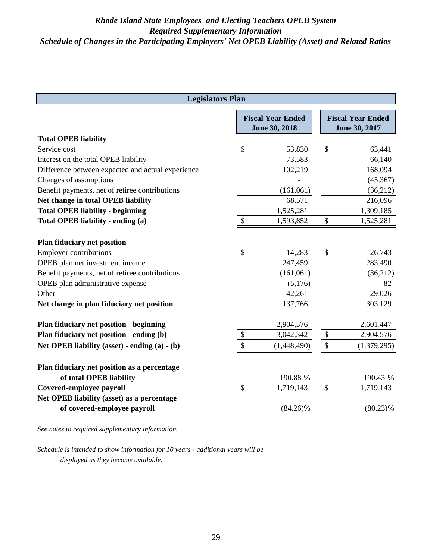| <b>Legislators Plan</b>                                                |                           |                                                  |                           |                                           |
|------------------------------------------------------------------------|---------------------------|--------------------------------------------------|---------------------------|-------------------------------------------|
|                                                                        |                           | <b>Fiscal Year Ended</b><br><b>June 30, 2018</b> |                           | <b>Fiscal Year Ended</b><br>June 30, 2017 |
| <b>Total OPEB liability</b>                                            |                           |                                                  |                           |                                           |
| Service cost                                                           | \$                        | 53,830                                           | \$                        | 63,441                                    |
| Interest on the total OPEB liability                                   |                           | 73,583                                           |                           | 66,140                                    |
| Difference between expected and actual experience                      |                           | 102,219                                          |                           | 168,094                                   |
| Changes of assumptions                                                 |                           |                                                  |                           | (45, 367)                                 |
| Benefit payments, net of retiree contributions                         |                           | (161,061)                                        |                           | (36,212)                                  |
| Net change in total OPEB liability                                     |                           | 68,571                                           |                           | 216,096                                   |
| <b>Total OPEB liability - beginning</b>                                |                           | 1,525,281                                        |                           | 1,309,185                                 |
| Total OPEB liability - ending (a)                                      | $\mathcal{S}$             | 1,593,852                                        | \$                        | 1,525,281                                 |
| <b>Plan fiduciary net position</b>                                     |                           |                                                  |                           |                                           |
| <b>Employer contributions</b>                                          | $\mathcal{S}$             | 14,283                                           | \$                        | 26,743                                    |
| OPEB plan net investment income                                        |                           | 247,459                                          |                           | 283,490                                   |
| Benefit payments, net of retiree contributions                         |                           | (161,061)                                        |                           | (36,212)                                  |
| OPEB plan administrative expense                                       |                           | (5,176)                                          |                           | 82                                        |
| Other                                                                  |                           | 42,261                                           |                           | 29,026                                    |
| Net change in plan fiduciary net position                              |                           | 137,766                                          |                           | 303,129                                   |
| Plan fiduciary net position - beginning                                |                           | 2,904,576                                        |                           | 2,601,447                                 |
| Plan fiduciary net position - ending (b)                               | \$                        | 3,042,342                                        | $\boldsymbol{\mathsf{S}}$ | 2,904,576                                 |
| Net OPEB liability (asset) - ending (a) - (b)                          | $\boldsymbol{\mathsf{S}}$ | (1,448,490)                                      | $\$\,$                    | (1,379,295)                               |
| Plan fiduciary net position as a percentage<br>of total OPEB liability |                           | 190.88 %                                         |                           | 190.43 %                                  |
| Covered-employee payroll                                               | $\mathcal{S}$             | 1,719,143                                        | \$                        | 1,719,143                                 |
| Net OPEB liability (asset) as a percentage                             |                           |                                                  |                           |                                           |
| of covered-employee payroll                                            |                           | $(84.26)\%$                                      |                           | $(80.23)\%$                               |

*See notes to required supplementary information.*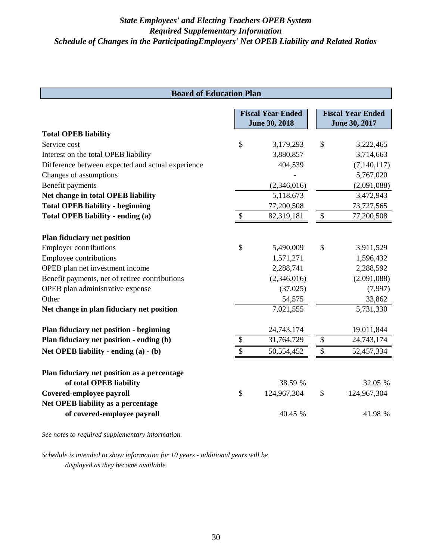# *State Employees' and Electing Teachers OPEB System Required Supplementary Information Schedule of Changes in the ParticipatingEmployers' Net OPEB Liability and Related Ratios*

| <b>Board of Education Plan</b>                    |    |                          |                           |                          |  |
|---------------------------------------------------|----|--------------------------|---------------------------|--------------------------|--|
|                                                   |    |                          |                           |                          |  |
|                                                   |    | <b>Fiscal Year Ended</b> |                           | <b>Fiscal Year Ended</b> |  |
|                                                   |    | <b>June 30, 2018</b>     |                           | June 30, 2017            |  |
| <b>Total OPEB liability</b>                       |    |                          |                           |                          |  |
| Service cost                                      | \$ | 3,179,293                | \$                        | 3,222,465                |  |
| Interest on the total OPEB liability              |    | 3,880,857                |                           | 3,714,663                |  |
| Difference between expected and actual experience |    | 404,539                  |                           | (7, 140, 117)            |  |
| Changes of assumptions                            |    |                          |                           | 5,767,020                |  |
| Benefit payments                                  |    | (2,346,016)              |                           | (2,091,088)              |  |
| Net change in total OPEB liability                |    | 5,118,673                |                           | 3,472,943                |  |
| <b>Total OPEB liability - beginning</b>           |    | 77,200,508               |                           | 73,727,565               |  |
| Total OPEB liability - ending (a)                 | \$ | 82,319,181               | $\boldsymbol{\mathsf{S}}$ | 77,200,508               |  |
| <b>Plan fiduciary net position</b>                |    |                          |                           |                          |  |
| <b>Employer contributions</b>                     | \$ | 5,490,009                | \$                        | 3,911,529                |  |
| <b>Employee contributions</b>                     |    | 1,571,271                |                           | 1,596,432                |  |
| OPEB plan net investment income                   |    | 2,288,741                |                           | 2,288,592                |  |
| Benefit payments, net of retiree contributions    |    | (2,346,016)              |                           | (2,091,088)              |  |
| OPEB plan administrative expense                  |    | (37, 025)                |                           | (7,997)                  |  |
| Other                                             |    | 54,575                   |                           | 33,862                   |  |
| Net change in plan fiduciary net position         |    | 7,021,555                |                           | 5,731,330                |  |
| Plan fiduciary net position - beginning           |    | 24,743,174               |                           | 19,011,844               |  |
| Plan fiduciary net position - ending (b)          | \$ | 31,764,729               | $\boldsymbol{\mathsf{S}}$ | 24,743,174               |  |
| Net OPEB liability - ending $(a) - (b)$           | \$ | 50,554,452               | \$                        | 52,457,334               |  |
| Plan fiduciary net position as a percentage       |    |                          |                           |                          |  |
| of total OPEB liability                           |    | 38.59 %                  |                           | 32.05 %                  |  |
| Covered-employee payroll                          | \$ | 124,967,304              | \$                        | 124,967,304              |  |
| Net OPEB liability as a percentage                |    |                          |                           |                          |  |
| of covered-employee payroll                       |    | 40.45 %                  |                           | 41.98 %                  |  |

*See notes to required supplementary information.*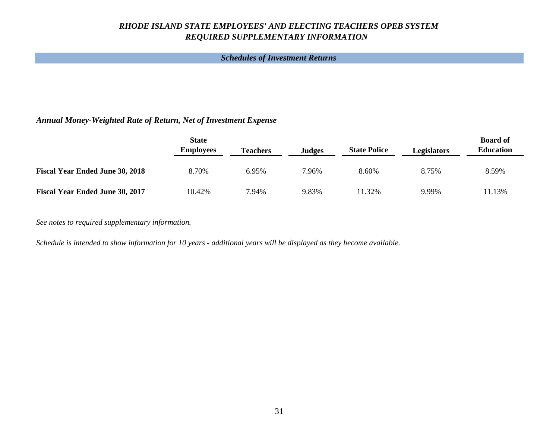# *REQUIRED SUPPLEMENTARY INFORMATION RHODE ISLAND STATE EMPLOYEES' AND ELECTING TEACHERS OPEB SYSTEM*

# *Schedules of Investment Returns*

## *Annual Money-Weighted Rate of Return, Net of Investment Expense*

|                                        | <b>State</b><br><b>Employees</b> | <b>Teachers</b> | <b>Judges</b> | <b>State Police</b> | <b>Legislators</b> | <b>Board of</b><br><b>Education</b> |
|----------------------------------------|----------------------------------|-----------------|---------------|---------------------|--------------------|-------------------------------------|
| <b>Fiscal Year Ended June 30, 2018</b> | 8.70%                            | 6.95%           | 7.96%         | 8.60%               | 8.75%              | 8.59%                               |
| <b>Fiscal Year Ended June 30, 2017</b> | 10.42%                           | 7.94%           | 9.83%         | 1.32%               | 9.99%              | 11.13%                              |

*See notes to required supplementary information.*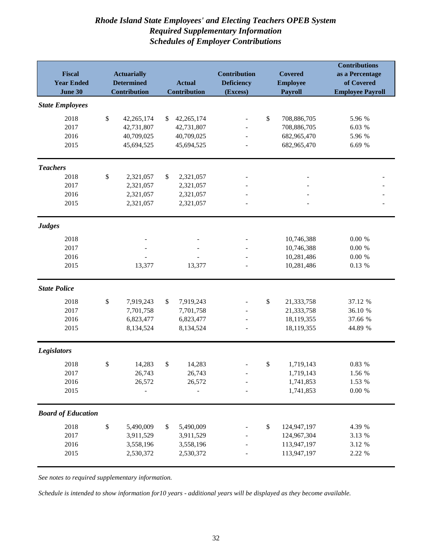# *Rhode Island State Employees' and Electing Teachers OPEB System Required Supplementary Information Schedules of Employer Contributions*

| Fiscal<br><b>Year Ended</b><br>June 30 | <b>Actuarially</b><br><b>Determined</b><br><b>Contribution</b> |              | <b>Actual</b><br><b>Contribution</b> | <b>Contribution</b><br><b>Deficiency</b><br>(Excess) | <b>Covered</b><br><b>Employee</b><br><b>Payroll</b> | <b>Contributions</b><br>as a Percentage<br>of Covered<br><b>Employee Payroll</b> |
|----------------------------------------|----------------------------------------------------------------|--------------|--------------------------------------|------------------------------------------------------|-----------------------------------------------------|----------------------------------------------------------------------------------|
| <b>State Employees</b>                 |                                                                |              |                                      |                                                      |                                                     |                                                                                  |
| 2018                                   | \$<br>42,265,174                                               | $\mathbb{S}$ | 42, 265, 174                         |                                                      | \$<br>708,886,705                                   | 5.96 %                                                                           |
| 2017                                   | 42,731,807                                                     |              | 42,731,807                           |                                                      | 708,886,705                                         | 6.03 %                                                                           |
| 2016                                   | 40,709,025                                                     |              | 40,709,025                           |                                                      | 682,965,470                                         | 5.96 %                                                                           |
| 2015                                   | 45,694,525                                                     |              | 45,694,525                           |                                                      | 682,965,470                                         | 6.69 %                                                                           |
| <b>Teachers</b>                        |                                                                |              |                                      |                                                      |                                                     |                                                                                  |
| 2018                                   | \$<br>2,321,057                                                | \$           | 2,321,057                            |                                                      |                                                     |                                                                                  |
| 2017                                   | 2,321,057                                                      |              | 2,321,057                            |                                                      |                                                     |                                                                                  |
| 2016                                   | 2,321,057                                                      |              | 2,321,057                            |                                                      |                                                     |                                                                                  |
| 2015                                   | 2,321,057                                                      |              | 2,321,057                            |                                                      |                                                     |                                                                                  |
| <b>Judges</b>                          |                                                                |              |                                      |                                                      |                                                     |                                                                                  |
| 2018                                   |                                                                |              |                                      |                                                      | 10,746,388                                          | $0.00\ \%$                                                                       |
| 2017                                   |                                                                |              |                                      |                                                      | 10,746,388                                          | $0.00\ \%$                                                                       |
| 2016                                   |                                                                |              |                                      |                                                      | 10,281,486                                          | $0.00\ \%$                                                                       |
| 2015                                   | 13,377                                                         |              | 13,377                               |                                                      | 10,281,486                                          | 0.13 %                                                                           |
| <b>State Police</b>                    |                                                                |              |                                      |                                                      |                                                     |                                                                                  |
| 2018                                   | \$<br>7,919,243                                                | \$           | 7,919,243                            |                                                      | \$<br>21,333,758                                    | 37.12 %                                                                          |
| 2017                                   | 7,701,758                                                      |              | 7,701,758                            |                                                      | 21,333,758                                          | 36.10 %                                                                          |
| 2016                                   | 6,823,477                                                      |              | 6,823,477                            |                                                      | 18,119,355                                          | 37.66 %                                                                          |
| 2015                                   | 8,134,524                                                      |              | 8,134,524                            |                                                      | 18,119,355                                          | 44.89 %                                                                          |
| <b>Legislators</b>                     |                                                                |              |                                      |                                                      |                                                     |                                                                                  |
| 2018                                   | \$<br>14,283                                                   | $\mathbb{S}$ | 14,283                               |                                                      | \$<br>1,719,143                                     | 0.83 %                                                                           |
| 2017                                   | 26,743                                                         |              | 26,743                               |                                                      | 1,719,143                                           | 1.56 %                                                                           |
| 2016                                   | 26,572                                                         |              | 26,572                               |                                                      | 1,741,853                                           | 1.53 %                                                                           |
| 2015                                   |                                                                |              |                                      |                                                      | 1,741,853                                           | $0.00\ \%$                                                                       |
| <b>Board of Education</b>              |                                                                |              |                                      |                                                      |                                                     |                                                                                  |
| 2018                                   | \$<br>5,490,009                                                | \$           | 5,490,009                            |                                                      | \$<br>124,947,197                                   | 4.39 %                                                                           |
| 2017                                   | 3,911,529                                                      |              | 3,911,529                            |                                                      | 124,967,304                                         | 3.13 %                                                                           |
| 2016                                   | 3,558,196                                                      |              | 3,558,196                            |                                                      | 113,947,197                                         | 3.12 %                                                                           |
| 2015                                   | 2,530,372                                                      |              | 2,530,372                            |                                                      | 113,947,197                                         | 2.22 %                                                                           |

*See notes to required supplementary information.*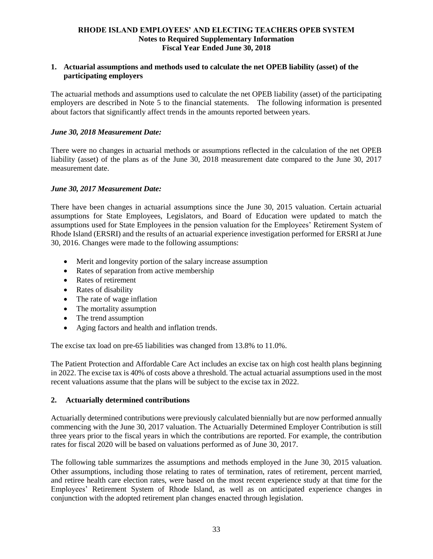#### **RHODE ISLAND EMPLOYEES' AND ELECTING TEACHERS OPEB SYSTEM Notes to Required Supplementary Information Fiscal Year Ended June 30, 2018**

#### **1. Actuarial assumptions and methods used to calculate the net OPEB liability (asset) of the participating employers**

The actuarial methods and assumptions used to calculate the net OPEB liability (asset) of the participating employers are described in Note 5 to the financial statements. The following information is presented about factors that significantly affect trends in the amounts reported between years.

#### *June 30, 2018 Measurement Date:*

There were no changes in actuarial methods or assumptions reflected in the calculation of the net OPEB liability (asset) of the plans as of the June 30, 2018 measurement date compared to the June 30, 2017 measurement date.

#### *June 30, 2017 Measurement Date:*

There have been changes in actuarial assumptions since the June 30, 2015 valuation. Certain actuarial assumptions for State Employees, Legislators, and Board of Education were updated to match the assumptions used for State Employees in the pension valuation for the Employees' Retirement System of Rhode Island (ERSRI) and the results of an actuarial experience investigation performed for ERSRI at June 30, 2016. Changes were made to the following assumptions:

- Merit and longevity portion of the salary increase assumption
- Rates of separation from active membership
- Rates of retirement
- Rates of disability
- The rate of wage inflation
- The mortality assumption
- The trend assumption
- Aging factors and health and inflation trends.

The excise tax load on pre-65 liabilities was changed from 13.8% to 11.0%.

The Patient Protection and Affordable Care Act includes an excise tax on high cost health plans beginning in 2022. The excise tax is 40% of costs above a threshold. The actual actuarial assumptions used in the most recent valuations assume that the plans will be subject to the excise tax in 2022.

#### **2. Actuarially determined contributions**

Actuarially determined contributions were previously calculated biennially but are now performed annually commencing with the June 30, 2017 valuation. The Actuarially Determined Employer Contribution is still three years prior to the fiscal years in which the contributions are reported. For example, the contribution rates for fiscal 2020 will be based on valuations performed as of June 30, 2017.

The following table summarizes the assumptions and methods employed in the June 30, 2015 valuation. Other assumptions, including those relating to rates of termination, rates of retirement, percent married, and retiree health care election rates, were based on the most recent experience study at that time for the Employees' Retirement System of Rhode Island, as well as on anticipated experience changes in conjunction with the adopted retirement plan changes enacted through legislation.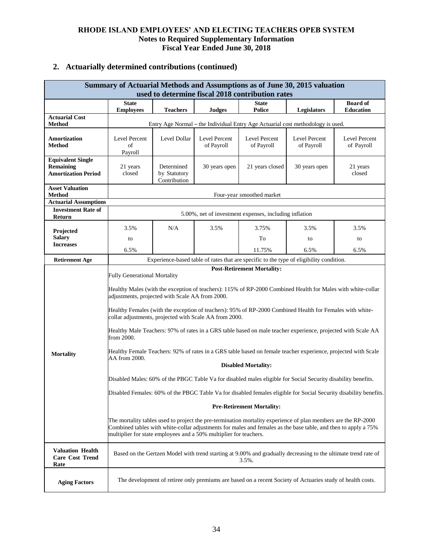#### **RHODE ISLAND EMPLOYEES' AND ELECTING TEACHERS OPEB SYSTEM Notes to Required Supplementary Information Fiscal Year Ended June 30, 2018**

# **2. Actuarially determined contributions (continued)**

| <b>Summary of Actuarial Methods and Assumptions as of June 30, 2015 valuation</b><br>used to determine fiscal 2018 contribution rates |                                                                                                                                                                                                                                                                                                                                                                                                                                                                                                                                                                                                                                                                                                                                                                                                                                                                                                                                                                                                                                                                                                                                                                                                                             |                                            |                             |                                                                                                                         |                             |                             |  |
|---------------------------------------------------------------------------------------------------------------------------------------|-----------------------------------------------------------------------------------------------------------------------------------------------------------------------------------------------------------------------------------------------------------------------------------------------------------------------------------------------------------------------------------------------------------------------------------------------------------------------------------------------------------------------------------------------------------------------------------------------------------------------------------------------------------------------------------------------------------------------------------------------------------------------------------------------------------------------------------------------------------------------------------------------------------------------------------------------------------------------------------------------------------------------------------------------------------------------------------------------------------------------------------------------------------------------------------------------------------------------------|--------------------------------------------|-----------------------------|-------------------------------------------------------------------------------------------------------------------------|-----------------------------|-----------------------------|--|
|                                                                                                                                       | <b>State</b>                                                                                                                                                                                                                                                                                                                                                                                                                                                                                                                                                                                                                                                                                                                                                                                                                                                                                                                                                                                                                                                                                                                                                                                                                |                                            |                             | <b>State</b>                                                                                                            |                             | <b>Board of</b>             |  |
| <b>Actuarial Cost</b>                                                                                                                 | <b>Teachers</b><br><b>Legislators</b><br><b>Education</b><br><b>Employees</b><br><b>Judges</b><br><b>Police</b>                                                                                                                                                                                                                                                                                                                                                                                                                                                                                                                                                                                                                                                                                                                                                                                                                                                                                                                                                                                                                                                                                                             |                                            |                             |                                                                                                                         |                             |                             |  |
| <b>Method</b>                                                                                                                         | Entry Age Normal - the Individual Entry Age Actuarial cost methodology is used.                                                                                                                                                                                                                                                                                                                                                                                                                                                                                                                                                                                                                                                                                                                                                                                                                                                                                                                                                                                                                                                                                                                                             |                                            |                             |                                                                                                                         |                             |                             |  |
| <b>Amortization</b><br>Method                                                                                                         | Level Percent<br>of<br>Payroll                                                                                                                                                                                                                                                                                                                                                                                                                                                                                                                                                                                                                                                                                                                                                                                                                                                                                                                                                                                                                                                                                                                                                                                              | Level Dollar                               | Level Percent<br>of Payroll | Level Percent<br>of Payroll                                                                                             | Level Percent<br>of Payroll | Level Percent<br>of Payroll |  |
| <b>Equivalent Single</b><br>Remaining<br><b>Amortization Period</b>                                                                   | 21 years<br>closed                                                                                                                                                                                                                                                                                                                                                                                                                                                                                                                                                                                                                                                                                                                                                                                                                                                                                                                                                                                                                                                                                                                                                                                                          | Determined<br>by Statutory<br>Contribution |                             | 21 years closed                                                                                                         | 30 years open               | 21 years<br>closed          |  |
| <b>Asset Valuation</b><br><b>Method</b>                                                                                               |                                                                                                                                                                                                                                                                                                                                                                                                                                                                                                                                                                                                                                                                                                                                                                                                                                                                                                                                                                                                                                                                                                                                                                                                                             |                                            |                             | Four-year smoothed market                                                                                               |                             |                             |  |
| <b>Actuarial Assumptions</b>                                                                                                          |                                                                                                                                                                                                                                                                                                                                                                                                                                                                                                                                                                                                                                                                                                                                                                                                                                                                                                                                                                                                                                                                                                                                                                                                                             |                                            |                             |                                                                                                                         |                             |                             |  |
| <b>Investment Rate of</b><br>Return                                                                                                   |                                                                                                                                                                                                                                                                                                                                                                                                                                                                                                                                                                                                                                                                                                                                                                                                                                                                                                                                                                                                                                                                                                                                                                                                                             |                                            |                             | 5.00%, net of investment expenses, including inflation                                                                  |                             |                             |  |
| Projected                                                                                                                             | 3.5%                                                                                                                                                                                                                                                                                                                                                                                                                                                                                                                                                                                                                                                                                                                                                                                                                                                                                                                                                                                                                                                                                                                                                                                                                        | N/A                                        | 3.5%                        | 3.75%                                                                                                                   | 3.5%                        | 3.5%                        |  |
| <b>Salary</b>                                                                                                                         | to                                                                                                                                                                                                                                                                                                                                                                                                                                                                                                                                                                                                                                                                                                                                                                                                                                                                                                                                                                                                                                                                                                                                                                                                                          |                                            |                             | To                                                                                                                      | to                          | to                          |  |
| <b>Increases</b>                                                                                                                      | 6.5%                                                                                                                                                                                                                                                                                                                                                                                                                                                                                                                                                                                                                                                                                                                                                                                                                                                                                                                                                                                                                                                                                                                                                                                                                        |                                            |                             | 11.75%                                                                                                                  | 6.5%                        | 6.5%                        |  |
| <b>Retirement Age</b>                                                                                                                 | Experience-based table of rates that are specific to the type of eligibility condition.                                                                                                                                                                                                                                                                                                                                                                                                                                                                                                                                                                                                                                                                                                                                                                                                                                                                                                                                                                                                                                                                                                                                     |                                            |                             |                                                                                                                         |                             |                             |  |
| <b>Mortality</b>                                                                                                                      | <b>Post-Retirement Mortality:</b><br><b>Fully Generational Mortality</b><br>Healthy Males (with the exception of teachers): 115% of RP-2000 Combined Health for Males with white-collar<br>adjustments, projected with Scale AA from 2000.<br>Healthy Females (with the exception of teachers): 95% of RP-2000 Combined Health for Females with white-<br>collar adjustments, projected with Scale AA from 2000.<br>Healthy Male Teachers: 97% of rates in a GRS table based on male teacher experience, projected with Scale AA<br>from 2000.<br>Healthy Female Teachers: 92% of rates in a GRS table based on female teacher experience, projected with Scale<br>AA from 2000.<br><b>Disabled Mortality:</b><br>Disabled Males: 60% of the PBGC Table Va for disabled males eligible for Social Security disability benefits.<br>Disabled Females: 60% of the PBGC Table Va for disabled females eligible for Social Security disability benefits.<br><b>Pre-Retirement Mortality:</b><br>The mortality tables used to project the pre-termination mortality experience of plan members are the RP-2000<br>Combined tables with white-collar adjustments for males and females as the base table, and then to apply a 75% |                                            |                             |                                                                                                                         |                             |                             |  |
| <b>Valuation Health</b><br><b>Care Cost Trend</b><br>Rate                                                                             |                                                                                                                                                                                                                                                                                                                                                                                                                                                                                                                                                                                                                                                                                                                                                                                                                                                                                                                                                                                                                                                                                                                                                                                                                             |                                            |                             | Based on the Gertzen Model with trend starting at 9.00% and gradually decreasing to the ultimate trend rate of<br>3.5%. |                             |                             |  |
| <b>Aging Factors</b>                                                                                                                  |                                                                                                                                                                                                                                                                                                                                                                                                                                                                                                                                                                                                                                                                                                                                                                                                                                                                                                                                                                                                                                                                                                                                                                                                                             |                                            |                             | The development of retiree only premiums are based on a recent Society of Actuaries study of health costs.              |                             |                             |  |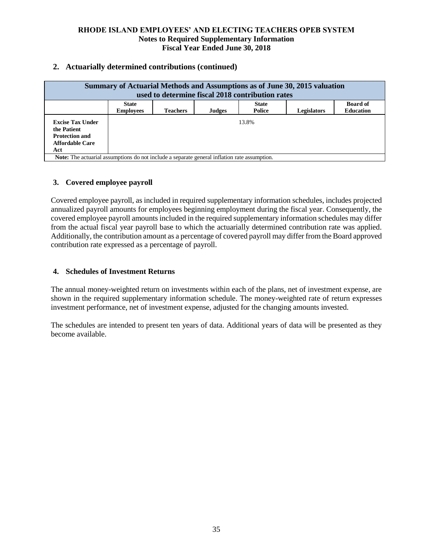#### **RHODE ISLAND EMPLOYEES' AND ELECTING TEACHERS OPEB SYSTEM Notes to Required Supplementary Information Fiscal Year Ended June 30, 2018**

#### **2. Actuarially determined contributions (continued)**

| Summary of Actuarial Methods and Assumptions as of June 30, 2015 valuation<br>used to determine fiscal 2018 contribution rates |                                                                                                     |                 |        |                        |             |                                     |
|--------------------------------------------------------------------------------------------------------------------------------|-----------------------------------------------------------------------------------------------------|-----------------|--------|------------------------|-------------|-------------------------------------|
|                                                                                                                                | <b>State</b><br><b>Employees</b>                                                                    | <b>Teachers</b> | Judges | <b>State</b><br>Police | Legislators | <b>Board of</b><br><b>Education</b> |
| <b>Excise Tax Under</b><br>the Patient<br><b>Protection and</b><br><b>Affordable Care</b><br>Act                               |                                                                                                     |                 |        | 13.8%                  |             |                                     |
|                                                                                                                                | <b>Note:</b> The actuarial assumptions do not include a separate general inflation rate assumption. |                 |        |                        |             |                                     |

#### **3. Covered employee payroll**

Covered employee payroll, as included in required supplementary information schedules, includes projected annualized payroll amounts for employees beginning employment during the fiscal year. Consequently, the covered employee payroll amounts included in the required supplementary information schedules may differ from the actual fiscal year payroll base to which the actuarially determined contribution rate was applied. Additionally, the contribution amount as a percentage of covered payroll may differ from the Board approved contribution rate expressed as a percentage of payroll.

#### **4. Schedules of Investment Returns**

The annual money-weighted return on investments within each of the plans, net of investment expense, are shown in the required supplementary information schedule. The money-weighted rate of return expresses investment performance, net of investment expense, adjusted for the changing amounts invested.

The schedules are intended to present ten years of data. Additional years of data will be presented as they become available.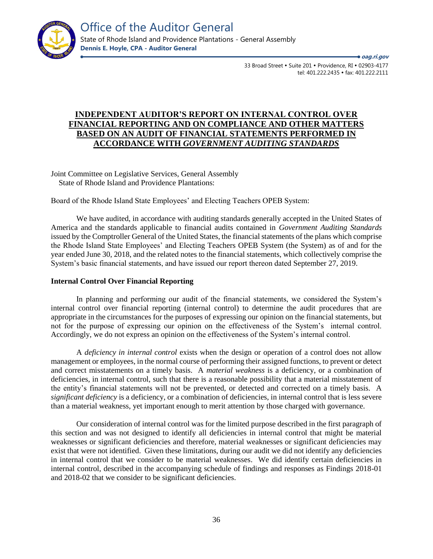

## **INDEPENDENT AUDITOR'S REPORT ON INTERNAL CONTROL OVER FINANCIAL REPORTING AND ON COMPLIANCE AND OTHER MATTERS BASED ON AN AUDIT OF FINANCIAL STATEMENTS PERFORMED IN ACCORDANCE WITH** *GOVERNMENT AUDITING STANDARDS*

Joint Committee on Legislative Services, General Assembly State of Rhode Island and Providence Plantations:

Board of the Rhode Island State Employees' and Electing Teachers OPEB System:

We have audited, in accordance with auditing standards generally accepted in the United States of America and the standards applicable to financial audits contained in *Government Auditing Standards* issued by the Comptroller General of the United States, the financial statements of the plans which comprise the Rhode Island State Employees' and Electing Teachers OPEB System (the System) as of and for the year ended June 30, 2018, and the related notes to the financial statements, which collectively comprise the System's basic financial statements, and have issued our report thereon dated September 27, 2019.

#### **Internal Control Over Financial Reporting**

In planning and performing our audit of the financial statements, we considered the System's internal control over financial reporting (internal control) to determine the audit procedures that are appropriate in the circumstances for the purposes of expressing our opinion on the financial statements, but not for the purpose of expressing our opinion on the effectiveness of the System's internal control. Accordingly, we do not express an opinion on the effectiveness of the System's internal control.

A *deficiency in internal control* exists when the design or operation of a control does not allow management or employees, in the normal course of performing their assigned functions, to prevent or detect and correct misstatements on a timely basis. A *material weakness* is a deficiency, or a combination of deficiencies, in internal control, such that there is a reasonable possibility that a material misstatement of the entity's financial statements will not be prevented, or detected and corrected on a timely basis. A *significant deficiency* is a deficiency, or a combination of deficiencies, in internal control that is less severe than a material weakness, yet important enough to merit attention by those charged with governance.

Our consideration of internal control was for the limited purpose described in the first paragraph of this section and was not designed to identify all deficiencies in internal control that might be material weaknesses or significant deficiencies and therefore, material weaknesses or significant deficiencies may exist that were not identified. Given these limitations, during our audit we did not identify any deficiencies in internal control that we consider to be material weaknesses. We did identify certain deficiencies in internal control, described in the accompanying schedule of findings and responses as Findings 2018-01 and 2018-02 that we consider to be significant deficiencies.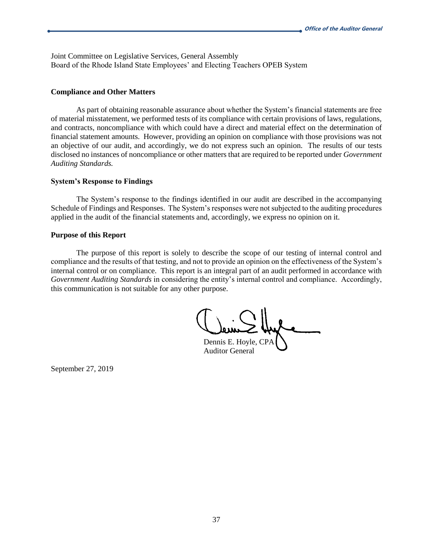Joint Committee on Legislative Services, General Assembly Board of the Rhode Island State Employees' and Electing Teachers OPEB System

#### **Compliance and Other Matters**

As part of obtaining reasonable assurance about whether the System's financial statements are free of material misstatement, we performed tests of its compliance with certain provisions of laws, regulations, and contracts, noncompliance with which could have a direct and material effect on the determination of financial statement amounts. However, providing an opinion on compliance with those provisions was not an objective of our audit, and accordingly, we do not express such an opinion. The results of our tests disclosed no instances of noncompliance or other matters that are required to be reported under *Government Auditing Standards.*

#### **System's Response to Findings**

The System's response to the findings identified in our audit are described in the accompanying Schedule of Findings and Responses. The System's responses were not subjected to the auditing procedures applied in the audit of the financial statements and, accordingly, we express no opinion on it.

#### **Purpose of this Report**

The purpose of this report is solely to describe the scope of our testing of internal control and compliance and the results of that testing, and not to provide an opinion on the effectiveness of the System's internal control or on compliance. This report is an integral part of an audit performed in accordance with *Government Auditing Standards* in considering the entity's internal control and compliance. Accordingly, this communication is not suitable for any other purpose.

Dennis E. Hoyle, CPA Auditor General

September 27, 2019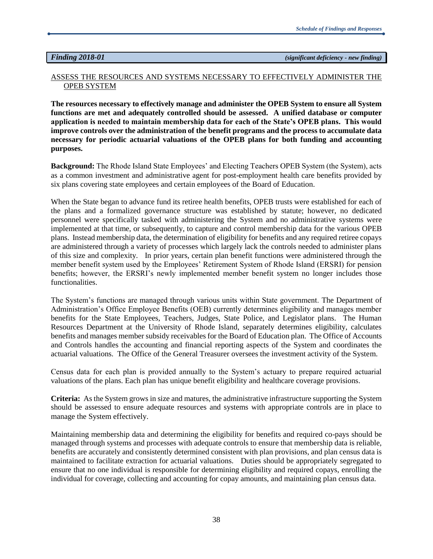*Finding 2018-01 (significant deficiency - new finding)* 

#### ASSESS THE RESOURCES AND SYSTEMS NECESSARY TO EFFECTIVELY ADMINISTER THE OPEB SYSTEM

**The resources necessary to effectively manage and administer the OPEB System to ensure all System functions are met and adequately controlled should be assessed. A unified database or computer application is needed to maintain membership data for each of the State's OPEB plans. This would improve controls over the administration of the benefit programs and the process to accumulate data necessary for periodic actuarial valuations of the OPEB plans for both funding and accounting purposes.** 

**Background:** The Rhode Island State Employees' and Electing Teachers OPEB System (the System), acts as a common investment and administrative agent for post-employment health care benefits provided by six plans covering state employees and certain employees of the Board of Education.

When the State began to advance fund its retiree health benefits, OPEB trusts were established for each of the plans and a formalized governance structure was established by statute; however, no dedicated personnel were specifically tasked with administering the System and no administrative systems were implemented at that time, or subsequently, to capture and control membership data for the various OPEB plans. Instead membership data, the determination of eligibility for benefits and any required retiree copays are administered through a variety of processes which largely lack the controls needed to administer plans of this size and complexity. In prior years, certain plan benefit functions were administered through the member benefit system used by the Employees' Retirement System of Rhode Island (ERSRI) for pension benefits; however, the ERSRI's newly implemented member benefit system no longer includes those functionalities.

The System's functions are managed through various units within State government. The Department of Administration's Office Employee Benefits (OEB) currently determines eligibility and manages member benefits for the State Employees, Teachers, Judges, State Police, and Legislator plans. The Human Resources Department at the University of Rhode Island, separately determines eligibility, calculates benefits and manages member subsidy receivables for the Board of Education plan. The Office of Accounts and Controls handles the accounting and financial reporting aspects of the System and coordinates the actuarial valuations. The Office of the General Treasurer oversees the investment activity of the System.

Census data for each plan is provided annually to the System's actuary to prepare required actuarial valuations of the plans. Each plan has unique benefit eligibility and healthcare coverage provisions.

**Criteria:** As the System grows in size and matures, the administrative infrastructure supporting the System should be assessed to ensure adequate resources and systems with appropriate controls are in place to manage the System effectively.

Maintaining membership data and determining the eligibility for benefits and required co-pays should be managed through systems and processes with adequate controls to ensure that membership data is reliable, benefits are accurately and consistently determined consistent with plan provisions, and plan census data is maintained to facilitate extraction for actuarial valuations. Duties should be appropriately segregated to ensure that no one individual is responsible for determining eligibility and required copays, enrolling the individual for coverage, collecting and accounting for copay amounts, and maintaining plan census data.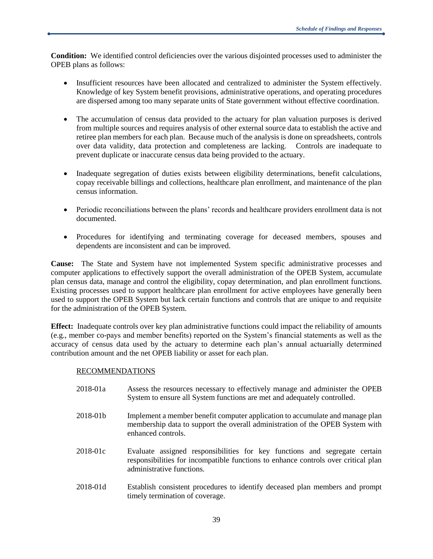**Condition:** We identified control deficiencies over the various disjointed processes used to administer the OPEB plans as follows:

- Insufficient resources have been allocated and centralized to administer the System effectively. Knowledge of key System benefit provisions, administrative operations, and operating procedures are dispersed among too many separate units of State government without effective coordination.
- The accumulation of census data provided to the actuary for plan valuation purposes is derived from multiple sources and requires analysis of other external source data to establish the active and retiree plan members for each plan. Because much of the analysis is done on spreadsheets, controls over data validity, data protection and completeness are lacking. Controls are inadequate to prevent duplicate or inaccurate census data being provided to the actuary.
- Inadequate segregation of duties exists between eligibility determinations, benefit calculations, copay receivable billings and collections, healthcare plan enrollment, and maintenance of the plan census information.
- Periodic reconciliations between the plans' records and healthcare providers enrollment data is not documented.
- Procedures for identifying and terminating coverage for deceased members, spouses and dependents are inconsistent and can be improved.

**Cause:** The State and System have not implemented System specific administrative processes and computer applications to effectively support the overall administration of the OPEB System, accumulate plan census data, manage and control the eligibility, copay determination, and plan enrollment functions. Existing processes used to support healthcare plan enrollment for active employees have generally been used to support the OPEB System but lack certain functions and controls that are unique to and requisite for the administration of the OPEB System.

**Effect:** Inadequate controls over key plan administrative functions could impact the reliability of amounts (e.g., member co-pays and member benefits) reported on the System's financial statements as well as the accuracy of census data used by the actuary to determine each plan's annual actuarially determined contribution amount and the net OPEB liability or asset for each plan.

#### RECOMMENDATIONS

- 2018-01a Assess the resources necessary to effectively manage and administer the OPEB System to ensure all System functions are met and adequately controlled.
- 2018-01b Implement a member benefit computer application to accumulate and manage plan membership data to support the overall administration of the OPEB System with enhanced controls.
- 2018-01c Evaluate assigned responsibilities for key functions and segregate certain responsibilities for incompatible functions to enhance controls over critical plan administrative functions.
- 2018-01d Establish consistent procedures to identify deceased plan members and prompt timely termination of coverage.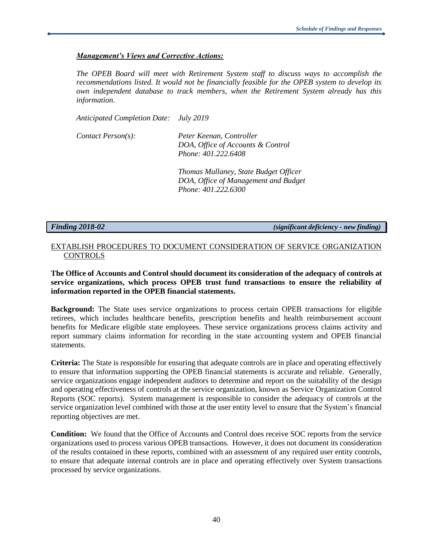#### *Management's Views and Corrective Actions:*

*The OPEB Board will meet with Retirement System staff to discuss ways to accomplish the recommendations listed. It would not be financially feasible for the OPEB system to develop its own independent database to track members, when the Retirement System already has this information.*

*Anticipated Completion Date: July 2019*

*Contact Person(s): Peter Keenan, Controller DOA, Office of Accounts & Control Phone: 401.222.6408*

> *Thomas Mullaney, State Budget Officer DOA, Office of Management and Budget Phone: 401.222.6300*

*Finding 2018-02 (significant deficiency - new finding)* 

#### EXTABLISH PROCEDURES TO DOCUMENT CONSIDERATION OF SERVICE ORGANIZATION **CONTROLS**

#### **The Office of Accounts and Control should document its consideration of the adequacy of controls at service organizations, which process OPEB trust fund transactions to ensure the reliability of information reported in the OPEB financial statements.**

**Background:** The State uses service organizations to process certain OPEB transactions for eligible retirees, which includes healthcare benefits, prescription benefits and health reimbursement account benefits for Medicare eligible state employees. These service organizations process claims activity and report summary claims information for recording in the state accounting system and OPEB financial statements.

**Criteria:** The State is responsible for ensuring that adequate controls are in place and operating effectively to ensure that information supporting the OPEB financial statements is accurate and reliable. Generally, service organizations engage independent auditors to determine and report on the suitability of the design and operating effectiveness of controls at the service organization, known as Service Organization Control Reports (SOC reports). System management is responsible to consider the adequacy of controls at the service organization level combined with those at the user entity level to ensure that the System's financial reporting objectives are met.

**Condition:** We found that the Office of Accounts and Control does receive SOC reports from the service organizations used to process various OPEB transactions. However, it does not document its consideration of the results contained in these reports, combined with an assessment of any required user entity controls, to ensure that adequate internal controls are in place and operating effectively over System transactions processed by service organizations.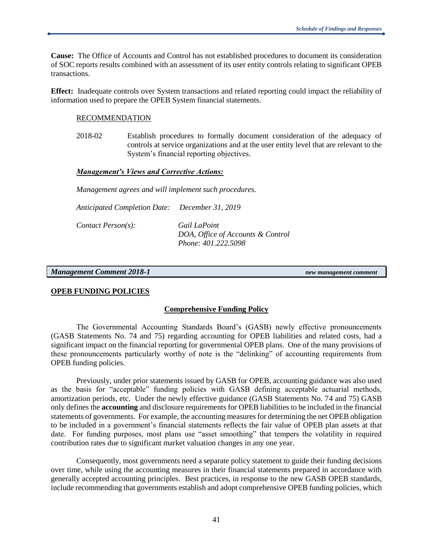**Cause:** The Office of Accounts and Control has not established procedures to document its consideration of SOC reports results combined with an assessment of its user entity controls relating to significant OPEB transactions.

**Effect:** Inadequate controls over System transactions and related reporting could impact the reliability of information used to prepare the OPEB System financial statements.

#### RECOMMENDATION

2018-02 Establish procedures to formally document consideration of the adequacy of controls at service organizations and at the user entity level that are relevant to the System's financial reporting objectives.

#### *Management's Views and Corrective Actions:*

*Management agrees and will implement such procedures.*

*Anticipated Completion Date: December 31, 2019*

| <i>Contact Person(s):</i> | Gail LaPoint                      |
|---------------------------|-----------------------------------|
|                           | DOA, Office of Accounts & Control |
|                           | Phone: 401.222.5098               |

#### *Management Comment 2018-1 new management comment*

#### **OPEB FUNDING POLICIES**

#### **Comprehensive Funding Policy**

The Governmental Accounting Standards Board's (GASB) newly effective pronouncements (GASB Statements No. 74 and 75) regarding accounting for OPEB liabilities and related costs, had a significant impact on the financial reporting for governmental OPEB plans. One of the many provisions of these pronouncements particularly worthy of note is the "delinking" of accounting requirements from OPEB funding policies.

Previously, under prior statements issued by GASB for OPEB, accounting guidance was also used as the basis for "acceptable" funding policies with GASB defining acceptable actuarial methods, amortization periods, etc. Under the newly effective guidance (GASB Statements No. 74 and 75) GASB only defines the **accounting** and disclosure requirements for OPEB liabilities to be included in the financial statements of governments. For example, the accounting measures for determining the net OPEB obligation to be included in a government's financial statements reflects the fair value of OPEB plan assets at that date. For funding purposes, most plans use "asset smoothing" that tempers the volatility in required contribution rates due to significant market valuation changes in any one year.

Consequently, most governments need a separate policy statement to guide their funding decisions over time, while using the accounting measures in their financial statements prepared in accordance with generally accepted accounting principles. Best practices, in response to the new GASB OPEB standards, include recommending that governments establish and adopt comprehensive OPEB funding policies, which